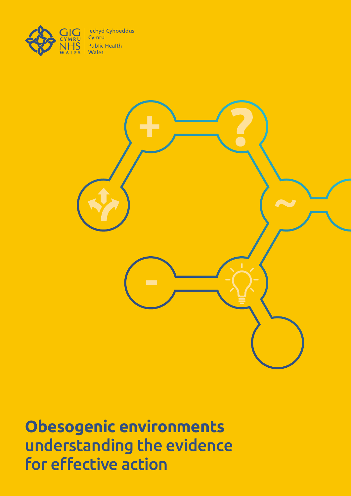



**Obesogenic environments**  understanding the evidence for effective action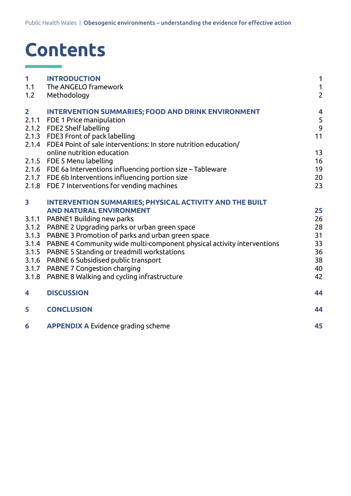# **Contents**

| 1                       | <b>INTRODUCTION</b>                                                          | 1              |
|-------------------------|------------------------------------------------------------------------------|----------------|
| 1.1                     | The ANGELO framework                                                         | $\mathbf{1}$   |
| 1.2                     | Methodology                                                                  | $\overline{c}$ |
| $\overline{2}$          | <b>INTERVENTION SUMMARIES; FOOD AND DRINK ENVIRONMENT</b>                    | 4              |
|                         | 2.1.1 FDE 1 Price manipulation                                               | 5              |
|                         | 2.1.2 FDE2 Shelf labelling                                                   | 9              |
|                         | 2.1.3 FDE3 Front of pack labelling                                           | 11             |
|                         | 2.1.4 FDE4 Point of sale interventions: In store nutrition education/        |                |
|                         | online nutrition education                                                   | 13             |
|                         | 2.1.5 FDE 5 Menu labelling                                                   | 16             |
|                         | 2.1.6 FDE 6a Interventions influencing portion size - Tableware              | 19             |
|                         | 2.1.7 FDE 6b Interventions influencing portion size                          | 20             |
|                         | 2.1.8 FDE 7 Interventions for vending machines                               | 23             |
| $\overline{\mathbf{3}}$ | INTERVENTION SUMMARIES; PHYSICAL ACTIVITY AND THE BUILT                      |                |
|                         | <b>AND NATURAL ENVIRONMENT</b>                                               | 25             |
| 3.1.1                   | PABNE1 Building new parks                                                    | 26             |
| 3.1.2                   | PABNE 2 Upgrading parks or urban green space                                 | 28             |
| 3.1.3                   | PABNE 3 Promotion of parks and urban green space                             | 31             |
|                         | 3.1.4 PABNE 4 Community wide multi-component physical activity interventions | 33             |
| 3.1.5                   | PABNE 5 Standing or treadmill workstations                                   | 36             |
| 3.1.6                   | PABNE 6 Subsidised public transport                                          | 38             |
|                         | 3.1.7 PABNE 7 Congestion charging                                            | 40             |
| 3.1.8                   | PABNE 8 Walking and cycling infrastructure                                   | 42             |
| 4                       | <b>DISCUSSION</b>                                                            | 44             |
| 5                       | <b>CONCLUSION</b>                                                            | 44             |
| 6                       | <b>APPENDIX A Evidence grading scheme</b>                                    | 45             |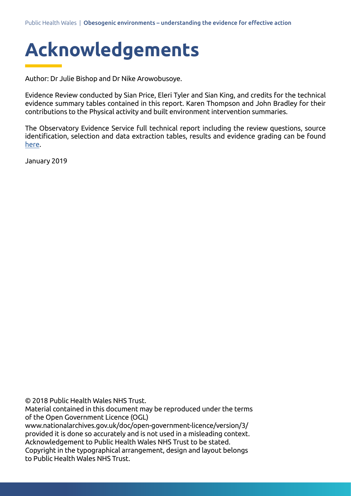

Author: Dr Julie Bishop and Dr Nike Arowobusoye.

Evidence Review conducted by Sian Price, Eleri Tyler and Sian King, and credits for the technical evidence summary tables contained in this report. Karen Thompson and John Bradley for their contributions to the Physical activity and built environment intervention summaries.

The Observatory Evidence Service full technical report including the review questions, source identification, selection and data extraction tables, results and evidence grading can be found [here.](http://www2.nphs.wales.nhs.uk:8080/PubHObservatoryProjDocs.nsf/3653c00e7bb6259d80256f27004900db/5120e167936affb18025837e0057bc28/$FILE/THI%20Update%20Obesogenic%20environment%20technical%20report%20.pdf)

January 2019

© 2018 Public Health Wales NHS Trust.

Material contained in this document may be reproduced under the terms of the Open Government Licence (OGL)

www.nationalarchives.gov.uk/doc/open-government-licence/version/3/ provided it is done so accurately and is not used in a misleading context. Acknowledgement to Public Health Wales NHS Trust to be stated. Copyright in the typographical arrangement, design and layout belongs to Public Health Wales NHS Trust.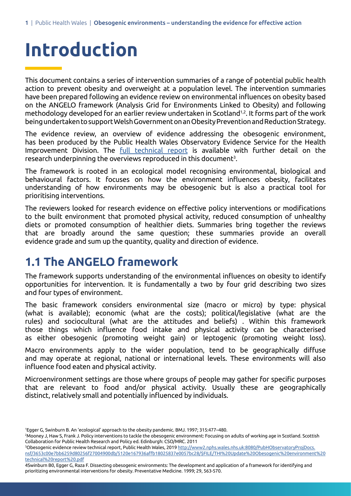# **Introduction**

This document contains a series of intervention summaries of a range of potential public health action to prevent obesity and overweight at a population level. The intervention summaries have been prepared following an evidence review on environmental influences on obesity based on the ANGELO framework (Analysis Grid for Environments Linked to Obesity) and following methodology developed for an earlier review undertaken in Scotland1,2. It forms part of the work being undertaken to support Welsh Government on an Obesity Prevention and Reduction Strategy.

The evidence review, an overview of evidence addressing the obesogenic environment, has been produced by the Public Health Wales Observatory Evidence Service for the Health Improvement Division. The [full technical report](http://www2.nphs.wales.nhs.uk:8080/PubHObservatoryProjDocs.nsf/3653c00e7bb6259d80256f27004900db/5120e167936affb18025837e0057bc28/$FILE/THI%20Update%20Obesogenic%20environment%20technical%20report%20.pdf) is available with further detail on the research underpinning the overviews reproduced in this document<sup>3</sup>.

The framework is rooted in an ecological model recognising environmental, biological and behavioural factors. It focuses on how the environment influences obesity, facilitates understanding of how environments may be obesogenic but is also a practical tool for prioritising interventions.

The reviewers looked for research evidence on effective policy interventions or modifications to the built environment that promoted physical activity, reduced consumption of unhealthy diets or promoted consumption of healthier diets. Summaries bring together the reviews that are broadly around the same question; these summaries provide an overall evidence grade and sum up the quantity, quality and direction of evidence.

#### **1.1 The ANGELO framework**

The framework supports understanding of the environmental influences on obesity to identify opportunities for intervention. It is fundamentally a two by four grid describing two sizes and four types of environment.

The basic framework considers environmental size (macro or micro) by type: physical (what is available); economic (what are the costs); political/legislative (what are the rules) and sociocultural (what are the attitudes and beliefs) . Within this framework those things which influence food intake and physical activity can be characterised as either obesogenic (promoting weight gain) or leptogenic (promoting weight loss).

Macro environments apply to the wider population, tend to be geographically diffuse and may operate at regional, national or international levels. These environments will also influence food eaten and physical activity.

Microenvironment settings are those where groups of people may gather for specific purposes that are relevant to food and/or physical activity. Usually these are geographically distinct, relatively small and potentially influenced by individuals.

<sup>1</sup> Egger G, Swinburn B. An 'ecological' approach to the obesity pandemic. BMJ. 1997; 315:477–480.

<sup>2</sup> Mooney J, Haw S, Frank J. Policy interventions to tackle the obesogenic environment: Focusing on adults of working age in Scotland. Scottish Collaboration for Public Health Research and Policy ed. Edinburgh: CSO/MRC. 2011

<sup>3</sup> Obesogenic evidence review technical report, Public Health Wales, 2019 [http://www2.nphs.wales.nhs.uk:8080/PubHObservatoryProjDocs.](http://www2.nphs.wales.nhs.uk:8080/PubHObservatoryProjDocs.nsf/3653c00e7bb6259d80256f27004900db/5120e167936affb18025837e0057bc28/$FILE/THI%20Update%20Obesogenic%20environment%20technical%20report%20.pdf) [nsf/3653c00e7bb6259d80256f27004900db/5120e167936affb18025837e0057bc28/\\$FILE/THI%20Update%20Obesogenic%20environment%20](http://www2.nphs.wales.nhs.uk:8080/PubHObservatoryProjDocs.nsf/3653c00e7bb6259d80256f27004900db/5120e167936affb18025837e0057bc28/$FILE/THI%20Update%20Obesogenic%20environment%20technical%20report%20.pdf) [technical%20report%20.pdf](http://www2.nphs.wales.nhs.uk:8080/PubHObservatoryProjDocs.nsf/3653c00e7bb6259d80256f27004900db/5120e167936affb18025837e0057bc28/$FILE/THI%20Update%20Obesogenic%20environment%20technical%20report%20.pdf)

<sup>4</sup>Swinburn B0, Egger G, Raza F. Dissecting obesogenic environments: The development and application of a framework for identifying and prioritizing environmental interventions for obesity. Preventative Medicine. 1999; 29, 563-570.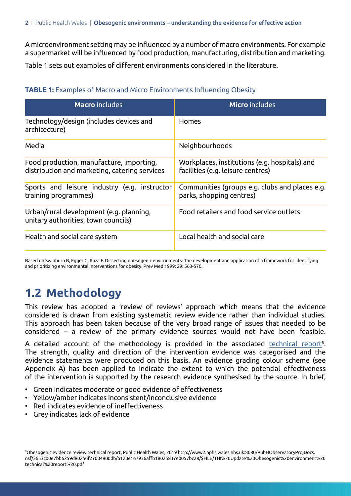A microenvironment setting may be influenced by a number of macro environments. For example a supermarket will be influenced by food production, manufacturing, distribution and marketing.

Table 1 sets out examples of different environments considered in the literature.

#### **TABLE 1:** Examples of Macro and Micro Environments Influencing Obesity

| <b>Macro</b> includes                                                                     | <b>Micro</b> includes                                                              |
|-------------------------------------------------------------------------------------------|------------------------------------------------------------------------------------|
| Technology/design (includes devices and<br>architecture)                                  | <b>Homes</b>                                                                       |
| Media                                                                                     | <b>Neighbourhoods</b>                                                              |
| Food production, manufacture, importing,<br>distribution and marketing, catering services | Workplaces, institutions (e.g. hospitals) and<br>facilities (e.g. leisure centres) |
| Sports and leisure industry (e.g. instructor<br>training programmes)                      | Communities (groups e.g. clubs and places e.g.<br>parks, shopping centres)         |
| Urban/rural development (e.g. planning,<br>unitary authorities, town councils)            | Food retailers and food service outlets                                            |
| Health and social care system                                                             | Local health and social care                                                       |

Based on Swinburn B, Egger G, Raza F. Dissecting obesogenic environments: The development and application of a framework for identifying and prioritizing environmental interventions for obesity. Prev Med 1999: 29: 563-570.

### **1.2 Methodology**

This review has adopted a 'review of reviews' approach which means that the evidence considered is drawn from existing systematic review evidence rather than individual studies. This approach has been taken because of the very broad range of issues that needed to be considered – a review of the primary evidence sources would not have been feasible.

A detailed account of the methodology is provided in the associated technical report<sup>5</sup>. The strength, quality and direction of the intervention evidence was categorised and the evidence statements were produced on this basis. An evidence grading colour scheme (see Appendix A) has been applied to indicate the extent to which the potential effectiveness of the intervention is supported by the research evidence synthesised by the source. In brief,

- Green indicates moderate or good evidence of effectiveness
- Yellow/amber indicates inconsistent/inconclusive evidence
- • Red indicates evidence of ineffectiveness
- Grey indicates lack of evidence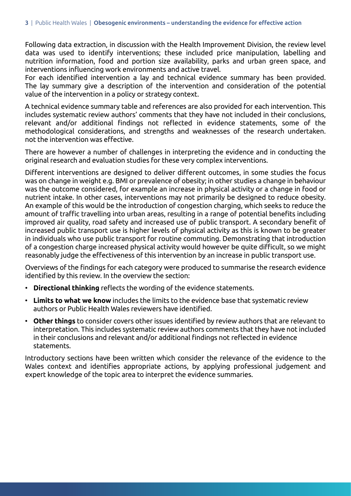Following data extraction, in discussion with the Health Improvement Division, the review level data was used to identify interventions; these included price manipulation, labelling and nutrition information, food and portion size availability, parks and urban green space, and interventions influencing work environments and active travel.

For each identified intervention a lay and technical evidence summary has been provided. The lay summary give a description of the intervention and consideration of the potential value of the intervention in a policy or strategy context.

A technical evidence summary table and references are also provided for each intervention. This includes systematic review authors' comments that they have not included in their conclusions, relevant and/or additional findings not reflected in evidence statements, some of the methodological considerations, and strengths and weaknesses of the research undertaken. not the intervention was effective.

There are however a number of challenges in interpreting the evidence and in conducting the original research and evaluation studies for these very complex interventions.

Different interventions are designed to deliver different outcomes, in some studies the focus was on change in weight e.g. BMI or prevalence of obesity; in other studies a change in behaviour was the outcome considered, for example an increase in physical activity or a change in food or nutrient intake. In other cases, interventions may not primarily be designed to reduce obesity. An example of this would be the introduction of congestion charging, which seeks to reduce the amount of traffic travelling into urban areas, resulting in a range of potential benefits including improved air quality, road safety and increased use of public transport. A secondary benefit of increased public transport use is higher levels of physical activity as this is known to be greater in individuals who use public transport for routine commuting. Demonstrating that introduction of a congestion charge increased physical activity would however be quite difficult, so we might reasonably judge the effectiveness of this intervention by an increase in public transport use.

Overviews of the findings for each category were produced to summarise the research evidence identified by this review. In the overview the section:

- **Directional thinking** reflects the wording of the evidence statements.
- **Limits to what we know** includes the limits to the evidence base that systematic review authors or Public Health Wales reviewers have identified.
- **Other things** to consider covers other issues identified by review authors that are relevant to interpretation. This includes systematic review authors comments that they have not included in their conclusions and relevant and/or additional findings not reflected in evidence statements.

Introductory sections have been written which consider the relevance of the evidence to the Wales context and identifies appropriate actions, by applying professional judgement and expert knowledge of the topic area to interpret the evidence summaries.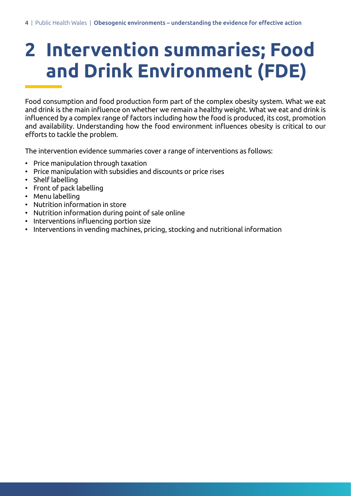# **2 Intervention summaries; Food and Drink Environment (FDE)**

Food consumption and food production form part of the complex obesity system. What we eat and drink is the main influence on whether we remain a healthy weight. What we eat and drink is influenced by a complex range of factors including how the food is produced, its cost, promotion and availability. Understanding how the food environment influences obesity is critical to our efforts to tackle the problem.

The intervention evidence summaries cover a range of interventions as follows:

- • Price manipulation through taxation
- Price manipulation with subsidies and discounts or price rises
- Shelf labelling
- Front of pack labelling
- Menu labelling
- Nutrition information in store
- Nutrition information during point of sale online
- • Interventions influencing portion size
- Interventions in vending machines, pricing, stocking and nutritional information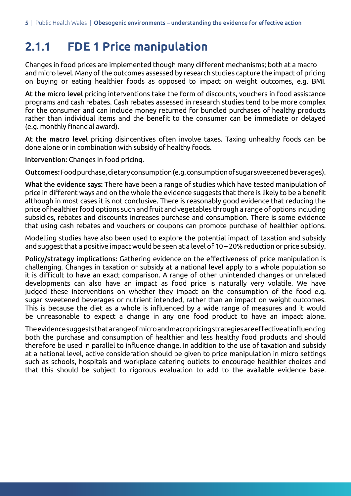#### **2.1.1 FDE 1 Price manipulation**

Changes in food prices are implemented though many different mechanisms; both at a macro and micro level. Many of the outcomes assessed by research studies capture the impact of pricing on buying or eating healthier foods as opposed to impact on weight outcomes, e.g. BMI.

At the micro level pricing interventions take the form of discounts, vouchers in food assistance programs and cash rebates. Cash rebates assessed in research studies tend to be more complex for the consumer and can include money returned for bundled purchases of healthy products rather than individual items and the benefit to the consumer can be immediate or delayed (e.g. monthly financial award).

At the macro level pricing disincentives often involve taxes. Taxing unhealthy foods can be done alone or in combination with subsidy of healthy foods.

Intervention: Changes in food pricing.

Outcomes: Food purchase, dietary consumption (e.g. consumption of sugar sweetened beverages).

What the evidence says: There have been a range of studies which have tested manipulation of price in different ways and on the whole the evidence suggests that there is likely to be a benefit although in most cases it is not conclusive. There is reasonably good evidence that reducing the price of healthier food options such and fruit and vegetables through a range of options including subsidies, rebates and discounts increases purchase and consumption. There is some evidence that using cash rebates and vouchers or coupons can promote purchase of healthier options.

Modelling studies have also been used to explore the potential impact of taxation and subsidy and suggest that a positive impact would be seen at a level of 10 – 20% reduction or price subsidy.

Policy/strategy implications: Gathering evidence on the effectiveness of price manipulation is challenging. Changes in taxation or subsidy at a national level apply to a whole population so it is difficult to have an exact comparison. A range of other unintended changes or unrelated developments can also have an impact as food price is naturally very volatile. We have judged these interventions on whether they impact on the consumption of the food e.g. sugar sweetened beverages or nutrient intended, rather than an impact on weight outcomes. This is because the diet as a whole is influenced by a wide range of measures and it would be unreasonable to expect a change in any one food product to have an impact alone.

Theevidencesuggeststhatarangeofmicroandmacropricingstrategiesareeffectiveatinfluencing both the purchase and consumption of healthier and less healthy food products and should therefore be used in parallel to influence change. In addition to the use of taxation and subsidy at a national level, active consideration should be given to price manipulation in micro settings such as schools, hospitals and workplace catering outlets to encourage healthier choices and that this should be subject to rigorous evaluation to add to the available evidence base.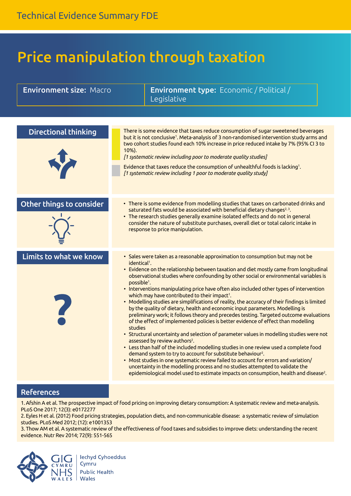## Price manipulation through taxation

| <b>Environment size: Macro</b> | <b>Environment type:</b> Economic / Political /<br>Legislative                                                                                                                                                                                                                                                                                                                                                                                                                                                                                                                                                                                                                                                                                                                                                                                                                                                                                                                                                                                                                                                                                                                                                                                                                                                                                                                                                                                        |
|--------------------------------|-------------------------------------------------------------------------------------------------------------------------------------------------------------------------------------------------------------------------------------------------------------------------------------------------------------------------------------------------------------------------------------------------------------------------------------------------------------------------------------------------------------------------------------------------------------------------------------------------------------------------------------------------------------------------------------------------------------------------------------------------------------------------------------------------------------------------------------------------------------------------------------------------------------------------------------------------------------------------------------------------------------------------------------------------------------------------------------------------------------------------------------------------------------------------------------------------------------------------------------------------------------------------------------------------------------------------------------------------------------------------------------------------------------------------------------------------------|
|                                |                                                                                                                                                                                                                                                                                                                                                                                                                                                                                                                                                                                                                                                                                                                                                                                                                                                                                                                                                                                                                                                                                                                                                                                                                                                                                                                                                                                                                                                       |
| <b>Directional thinking</b>    | There is some evidence that taxes reduce consumption of sugar sweetened beverages<br>but it is not conclusive <sup>1</sup> . Meta-analysis of 3 non-randomised intervention study arms and<br>two cohort studies found each 10% increase in price reduced intake by 7% (95% CI 3 to<br>10%).<br>[1 systematic review including poor to moderate quality studies]<br>Evidence that taxes reduce the consumption of unhealthful foods is lacking <sup>1</sup> .<br>[1 systematic review including 1 poor to moderate quality study]                                                                                                                                                                                                                                                                                                                                                                                                                                                                                                                                                                                                                                                                                                                                                                                                                                                                                                                     |
| Other things to consider       | • There is some evidence from modelling studies that taxes on carbonated drinks and<br>saturated fats would be associated with beneficial dietary changes <sup>2,3</sup> .<br>• The research studies generally examine isolated effects and do not in general<br>consider the nature of substitute purchases, overall diet or total caloric intake in<br>response to price manipulation.                                                                                                                                                                                                                                                                                                                                                                                                                                                                                                                                                                                                                                                                                                                                                                                                                                                                                                                                                                                                                                                              |
| Limits to what we know         | • Sales were taken as a reasonable approximation to consumption but may not be<br>identical <sup>1</sup> .<br>• Evidence on the relationship between taxation and diet mostly came from longitudinal<br>observational studies where confounding by other social or environmental variables is<br>possible <sup>1</sup> .<br>• Interventions manipulating price have often also included other types of intervention<br>which may have contributed to their impact <sup>1</sup> .<br>• Modelling studies are simplifications of reality, the accuracy of their findings is limited<br>by the quality of dietary, health and economic input parameters. Modelling is<br>preliminary work; it follows theory and precedes testing. Targeted outcome evaluations<br>of the effect of implemented policies is better evidence of effect than modelling<br>studies<br>• Structural uncertainty and selection of parameter values in modelling studies were not<br>assessed by review authors <sup>2</sup> .<br>• Less than half of the included modelling studies in one review used a complete food<br>demand system to try to account for substitute behaviour <sup>2</sup> .<br>• Most studies in one systematic review failed to account for errors and variation/<br>uncertainty in the modelling process and no studies attempted to validate the<br>epidemiological model used to estimate impacts on consumption, health and disease <sup>2</sup> . |

#### References

1.Afshin A et al. The prospective impact of food pricing on improving dietary consumption: A systematic review and meta-analysis. PLoS One 2017; 12(3): e0172277

2. Eyles H et al. (2012) Food pricing strategies, population diets, and non-communicable disease: a systematic review of simulation studies. PLoS Med 2012; (12): e1001353

3. Thow AM et al. A systematic review of the effectiveness of food taxes and subsidies to improve diets: understanding the recent evidence. Nutr Rev 2014; 72(9): 551-565



**Iechyd Cyhoeddus** Cymru **Public Health**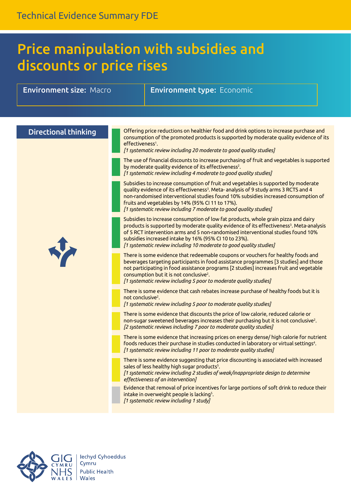### Price manipulation with subsidies and discounts or price rises

**Environment size:** Macro **Environment type:** Economic

| <b>Directional thinking</b> | Offering price reductions on healthier food and drink options to increase purchase and<br>consumption of the promoted products is supported by moderate quality evidence of its<br>effectiveness <sup>1</sup> .<br>[1 systematic review including 20 moderate to good quality studies]                                                                                                                         |
|-----------------------------|----------------------------------------------------------------------------------------------------------------------------------------------------------------------------------------------------------------------------------------------------------------------------------------------------------------------------------------------------------------------------------------------------------------|
|                             | The use of financial discounts to increase purchasing of fruit and vegetables is supported<br>by moderate quality evidence of its effectiveness <sup>2</sup> .<br>[1 systematic review including 4 moderate to good quality studies]                                                                                                                                                                           |
|                             | Subsidies to increase consumption of fruit and vegetables is supported by moderate<br>quality evidence of its effectiveness <sup>3</sup> . Meta- analysis of 9 study arms 3 RCTS and 4<br>non-randomised interventional studies found 10% subsidies increased consumption of<br>fruits and vegetables by 14% (95% CI 11 to 17%).<br>[1 systematic review including 7 moderate to good quality studies]         |
|                             | Subsidies to increase consumption of low fat products, whole grain pizza and dairy<br>products is supported by moderate quality evidence of its effectiveness <sup>3</sup> . Meta-analysis<br>of 5 RCT intervention arms and 5 non-randomised interventional studies found 10%<br>subsidies increased intake by 16% (95% CI 10 to 23%).<br>[1 systematic review including 10 moderate to good quality studies] |
|                             | There is some evidence that redeemable coupons or vouchers for healthy foods and<br>beverages targeting participants in food assistance programmes [3 studies] and those<br>not participating in food assistance programs [2 studies] increases fruit and vegetable<br>consumption but it is not conclusive <sup>2</sup> .<br>[1 systematic review including 5 poor to moderate quality studies]               |
|                             | There is some evidence that cash rebates increase purchase of healthy foods but it is<br>not conclusive <sup>2</sup> .<br>[1 systematic review including 5 poor to moderate quality studies]                                                                                                                                                                                                                   |
|                             | There is some evidence that discounts the price of low calorie, reduced calorie or<br>non-sugar sweetened beverages increases their purchasing but it is not conclusive <sup>2</sup> .<br>[2 systematic reviews including 7 poor to moderate quality studies]                                                                                                                                                  |
|                             | There is some evidence that increasing prices on energy dense/ high calorie for nutrient<br>foods reduces their purchase in studies conducted in laboratory or virtual settings <sup>4</sup> .<br>[1 systematic review including 11 poor to moderate quality studies]                                                                                                                                          |
|                             | There is some evidence suggesting that price discounting is associated with increased<br>sales of less healthy high sugar products <sup>5</sup> .<br>[1 systematic review including 2 studies of weak/inappropriate design to determine<br>effectiveness of an intervention]                                                                                                                                   |
|                             | Evidence that removal of price incentives for large portions of soft drink to reduce their<br>intake in overweight people is lacking <sup>5</sup> .<br>[1 systematic review including 1 study]                                                                                                                                                                                                                 |

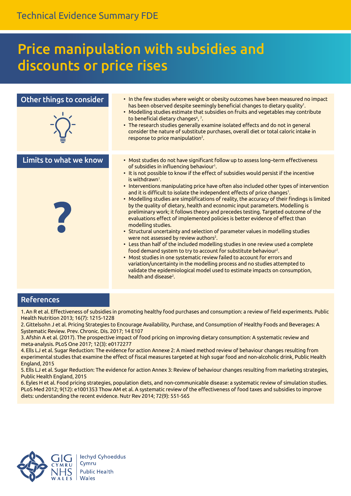### Price manipulation with subsidies and discounts or price rises

| Other things to consider | . In the few studies where weight or obesity outcomes have been measured no impact<br>has been observed despite seemingly beneficial changes to dietary quality <sup>1</sup> .<br>• Modelling studies estimate that subsidies on fruits and vegetables may contribute<br>to beneficial dietary changes <sup>6</sup> , <sup>7</sup> .<br>• The research studies generally examine isolated effects and do not in general<br>consider the nature of substitute purchases, overall diet or total caloric intake in<br>response to price manipulation <sup>2</sup> .                                                                                                                                                                                                                                                                                                                                                                                                                                                                                                                                                                                                                                                                                                                                                                                                                                                                 |
|--------------------------|----------------------------------------------------------------------------------------------------------------------------------------------------------------------------------------------------------------------------------------------------------------------------------------------------------------------------------------------------------------------------------------------------------------------------------------------------------------------------------------------------------------------------------------------------------------------------------------------------------------------------------------------------------------------------------------------------------------------------------------------------------------------------------------------------------------------------------------------------------------------------------------------------------------------------------------------------------------------------------------------------------------------------------------------------------------------------------------------------------------------------------------------------------------------------------------------------------------------------------------------------------------------------------------------------------------------------------------------------------------------------------------------------------------------------------|
| Limits to what we know   | • Most studies do not have significant follow up to assess long-term effectiveness<br>of subsidies in influencing behaviour <sup>1</sup> .<br>• It is not possible to know if the effect of subsidies would persist if the incentive<br>is withdrawn <sup>1</sup> .<br>• Interventions manipulating price have often also included other types of intervention<br>and it is difficult to isolate the independent effects of price changes <sup>1</sup> .<br>• Modelling studies are simplifications of reality, the accuracy of their findings is limited<br>by the quality of dietary, health and economic input parameters. Modelling is<br>preliminary work; it follows theory and precedes testing. Targeted outcome of the<br>evaluations effect of implemented policies is better evidence of effect than<br>modelling studies.<br>• Structural uncertainty and selection of parameter values in modelling studies<br>were not assessed by review authors <sup>2</sup> .<br>• Less than half of the included modelling studies in one review used a complete<br>food demand system to try to account for substitute behaviour <sup>2</sup> .<br>• Most studies in one systematic review failed to account for errors and<br>variation/uncertainty in the modelling process and no studies attempted to<br>validate the epidemiological model used to estimate impacts on consumption,<br>health and disease <sup>2</sup> . |

#### References

1. An R et al. Effectiveness of subsidies in promoting healthy food purchases and consumption: a review of field experiments. Public Health Nutrition 2013; 16(7): 1215-1228

2. Gittelsohn J et al. Pricing Strategies to Encourage Availability, Purchase, and Consumption of Healthy Foods and Beverages: A Systematic Review. Prev. Chronic. Dis. 2017; 14 E107

3. Afshin A et al. (2017). The prospective impact of food pricing on improving dietary consumption: A systematic review and meta-analysis. PLoS One 2017; 12(3): e0172277

4. Ells LJ et al. Sugar Reduction: The evidence for action Annexe 2: A mixed method review of behaviour changes resulting from experimental studies that examine the effect of fiscal measures targeted at high sugar food and non-alcoholic drink, Public Health England, 2015

5. Ells LJ et al. Sugar Reduction: The evidence for action Annex 3: Review of behaviour changes resulting from marketing strategies, Public Health England, 2015

6. Eyles H et al. Food pricing strategies, population diets, and non-communicable disease: a systematic review of simulation studies. PLoS Med 2012; 9(12): e1001353 Thow AM et al. A systematic review of the effectiveness of food taxes and subsidies to improve diets: understanding the recent evidence. Nutr Rev 2014; 72(9): 551-565

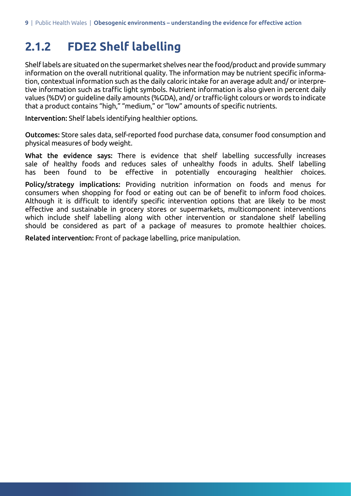### **2.1.2 FDE2 Shelf labelling**

Shelf labels are situated on the supermarket shelves near the food/product and provide summary information on the overall nutritional quality. The information may be nutrient specific information, contextual information such as the daily caloric intake for an average adult and/ or interpretive information such as traffic light symbols. Nutrient information is also given in percent daily values (%DV) or guideline daily amounts (%GDA), and/ or traffic-light colours or words to indicate that a product contains "high," "medium," or "low" amounts of specific nutrients.

Intervention: Shelf labels identifying healthier options.

Outcomes: Store sales data, self-reported food purchase data, consumer food consumption and physical measures of body weight.

What the evidence says: There is evidence that shelf labelling successfully increases sale of healthy foods and reduces sales of unhealthy foods in adults. Shelf labelling has been found to be effective in potentially encouraging healthier choices.

Policy/strategy implications: Providing nutrition information on foods and menus for consumers when shopping for food or eating out can be of benefit to inform food choices. Although it is difficult to identify specific intervention options that are likely to be most effective and sustainable in grocery stores or supermarkets, multicomponent interventions which include shelf labelling along with other intervention or standalone shelf labelling should be considered as part of a package of measures to promote healthier choices.

Related intervention: Front of package labelling, price manipulation.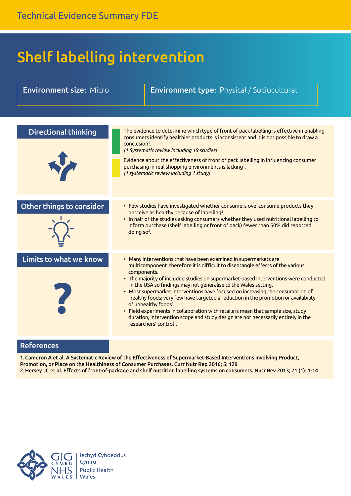## Shelf labelling intervention

| <b>Environment size: Micro</b> |                           | <b>Environment type: Physical / Sociocultural</b>                                                                                                                                                                                                                                                                                                                                                                                                                                                                                                                                                                                                                                                                                                         |
|--------------------------------|---------------------------|-----------------------------------------------------------------------------------------------------------------------------------------------------------------------------------------------------------------------------------------------------------------------------------------------------------------------------------------------------------------------------------------------------------------------------------------------------------------------------------------------------------------------------------------------------------------------------------------------------------------------------------------------------------------------------------------------------------------------------------------------------------|
|                                |                           |                                                                                                                                                                                                                                                                                                                                                                                                                                                                                                                                                                                                                                                                                                                                                           |
| <b>Directional thinking</b>    | conclusion <sup>1</sup> . | The evidence to determine which type of front of pack labelling is effective in enabling<br>consumers identify healthier products is inconsistent and it is not possible to draw a<br>[1 Systematic review including 19 studies]<br>Evidence about the effectiveness of front of pack labelling in influencing consumer<br>purchasing in real shopping environments is lacking <sup>1</sup> .<br>[1 systematic review including 1 study]                                                                                                                                                                                                                                                                                                                  |
| Other things to consider       | doing so <sup>2</sup> .   | • Few studies have investigated whether consumers overconsume products they<br>perceive as healthy because of labelling <sup>2</sup> .<br>. In half of the studies asking consumers whether they used nutritional labelling to<br>inform purchase (shelf labelling or front of pack) fewer than 50% did reported                                                                                                                                                                                                                                                                                                                                                                                                                                          |
| Limits to what we know         |                           | • Many interventions that have been examined in supermarkets are<br>multicomponent therefore it is difficult to disentangle effects of the various<br>components.<br>. The majority of included studies on supermarket-based interventions were conducted<br>in the USA so findings may not generalise to the Wales setting.<br>• Most supermarket interventions have focused on increasing the consumption of<br>healthy foods; very few have targeted a reduction in the promotion or availability<br>of unhealthy foods <sup>1</sup> .<br>• Field experiments in collaboration with retailers mean that sample size, study<br>duration, intervention scope and study design are not necessarily entirely in the<br>researchers' control <sup>1</sup> . |
| <b>References</b>              |                           |                                                                                                                                                                                                                                                                                                                                                                                                                                                                                                                                                                                                                                                                                                                                                           |

1.Cameron A et al. A Systematic Review of the Effectiveness of Supermarket-Based Interventions Involving Product, Promotion, or Place on the Healthiness of Consumer Purchases. Curr Nutr Rep 2016; 5: 129 2.Hersey JC et al. Effects of front-of-package and shelf nutrition labelling systems on consumers. Nutr Rev 2013; 71 (1): 1-14

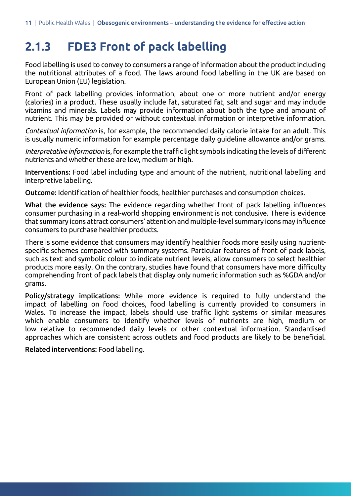#### **2.1.3 FDE3 Front of pack labelling**

Food labelling is used to convey to consumers a range of information about the product including the nutritional attributes of a food. The laws around food labelling in the UK are based on European Union (EU) legislation.

Front of pack labelling provides information, about one or more nutrient and/or energy (calories) in a product. These usually include fat, saturated fat, salt and sugar and may include vitamins and minerals. Labels may provide information about both the type and amount of nutrient. This may be provided or without contextual information or interpretive information.

*Contextual information* is, for example, the recommended daily calorie intake for an adult. This is usually numeric information for example percentage daily guideline allowance and/or grams.

*Interpretative information* is, for example the traffic light symbols indicating the levels of different nutrients and whether these are low, medium or high.

Interventions: Food label including type and amount of the nutrient, nutritional labelling and interpretive labelling.

Outcome: Identification of healthier foods, healthier purchases and consumption choices.

What the evidence says: The evidence regarding whether front of pack labelling influences consumer purchasing in a real-world shopping environment is not conclusive. There is evidence that summary icons attract consumers' attention and multiple-level summary icons may influence consumers to purchase healthier products.

There is some evidence that consumers may identify healthier foods more easily using nutrientspecific schemes compared with summary systems. Particular features of front of pack labels, such as text and symbolic colour to indicate nutrient levels, allow consumers to select healthier products more easily. On the contrary, studies have found that consumers have more difficulty comprehending front of pack labels that display only numeric information such as %GDA and/or grams.

Policy/strategy implications: While more evidence is required to fully understand the impact of labelling on food choices, food labelling is currently provided to consumers in Wales. To increase the impact, labels should use traffic light systems or similar measures which enable consumers to identify whether levels of nutrients are high, medium or low relative to recommended daily levels or other contextual information. Standardised approaches which are consistent across outlets and food products are likely to be beneficial.

Related interventions: Food labelling.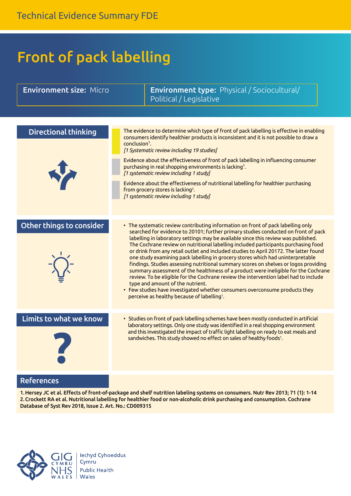## Front of pack labelling

| <b>Environment size: Micro</b> |                           | Environment type: Physical / Sociocultural/<br>Political / Legislative                                                                                                                                                                                                                                                                                                                                                                                                                                                                                                                                                                                                                                                                                                                                                                                                                                                                                                             |
|--------------------------------|---------------------------|------------------------------------------------------------------------------------------------------------------------------------------------------------------------------------------------------------------------------------------------------------------------------------------------------------------------------------------------------------------------------------------------------------------------------------------------------------------------------------------------------------------------------------------------------------------------------------------------------------------------------------------------------------------------------------------------------------------------------------------------------------------------------------------------------------------------------------------------------------------------------------------------------------------------------------------------------------------------------------|
|                                |                           |                                                                                                                                                                                                                                                                                                                                                                                                                                                                                                                                                                                                                                                                                                                                                                                                                                                                                                                                                                                    |
| <b>Directional thinking</b>    | conclusion <sup>1</sup> . | The evidence to determine which type of front of pack labelling is effective in enabling<br>consumers identify healthier products is inconsistent and it is not possible to draw a<br>[1 Systematic review including 19 studies]<br>Evidence about the effectiveness of front of pack labelling in influencing consumer<br>purchasing in real shopping environments is lacking <sup>1</sup> .<br>[1 systematic review including 1 study]<br>Evidence about the effectiveness of nutritional labelling for healthier purchasing<br>from grocery stores is lacking <sup>2</sup> .<br>[1 systematic review including 1 study]                                                                                                                                                                                                                                                                                                                                                         |
| Other things to consider       |                           | • The systematic review contributing information on front of pack labelling only<br>searched for evidence to 20101; further primary studies conducted on front of pack<br>labelling in laboratory settings may be available since this review was published.<br>The Cochrane review on nutritional labelling included participants purchasing food<br>or drink from any retail outlet and included studies to April 20172. The latter found<br>one study examining pack labelling in grocery stores which had uninterpretable<br>findings. Studies assessing nutritional summary scores on shelves or logos providing<br>summary assessment of the healthiness of a product were ineligible for the Cochrane<br>review. To be eligible for the Cochrane review the intervention label had to include<br>type and amount of the nutrient.<br>• Few studies have investigated whether consumers overconsume products they<br>perceive as healthy because of labelling <sup>1</sup> . |
| Limits to what we know         |                           | • Studies on front of pack labelling schemes have been mostly conducted in artificial<br>laboratory settings. Only one study was identified in a real shopping environment<br>and this investigated the impact of traffic light labelling on ready to eat meals and<br>sandwiches. This study showed no effect on sales of healthy foods <sup>1</sup> .                                                                                                                                                                                                                                                                                                                                                                                                                                                                                                                                                                                                                            |
| <b>References</b>              |                           |                                                                                                                                                                                                                                                                                                                                                                                                                                                                                                                                                                                                                                                                                                                                                                                                                                                                                                                                                                                    |

1.Hersey JC et al. Effects of front-of-package and shelf nutrition labeling systems on consumers. Nutr Rev 2013; 71 (1): 1-14 2.Crockett RA et al. Nutritional labelling for healthier food or non-alcoholic drink purchasing and consumption. Cochrane Database of Syst Rev 2018, Issue 2. Art. No.: CD009315

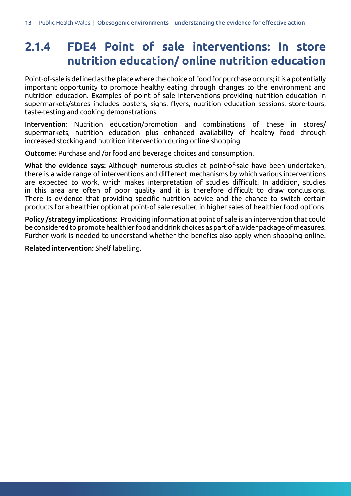### **2.1.4 FDE4 Point of sale interventions: In store nutrition education/ online nutrition education**

Point-of-sale is defined as the place where the choice of food for purchase occurs; it is a potentially important opportunity to promote healthy eating through changes to the environment and nutrition education. Examples of point of sale interventions providing nutrition education in supermarkets/stores includes posters, signs, flyers, nutrition education sessions, store-tours, taste-testing and cooking demonstrations.

Intervention: Nutrition education/promotion and combinations of these in stores/ supermarkets, nutrition education plus enhanced availability of healthy food through increased stocking and nutrition intervention during online shopping

Outcome: Purchase and /or food and beverage choices and consumption.

What the evidence says: Although numerous studies at point-of-sale have been undertaken, there is a wide range of interventions and different mechanisms by which various interventions are expected to work, which makes interpretation of studies difficult. In addition, studies in this area are often of poor quality and it is therefore difficult to draw conclusions. There is evidence that providing specific nutrition advice and the chance to switch certain products for a healthier option at point-of sale resulted in higher sales of healthier food options.

Policy /strategy implications: Providing information at point of sale is an intervention that could be considered to promote healthier food and drink choices as part of a wider package of measures. Further work is needed to understand whether the benefits also apply when shopping online.

Related intervention: Shelf labelling.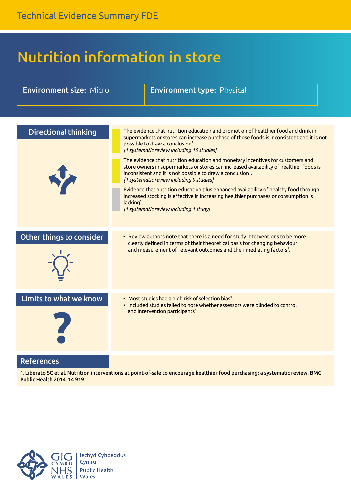## Nutrition information in store

| <b>Environment size: Micro</b> |              | <b>Environment type: Physical</b>                                                                                                                                                                                                                                                                                                                                                                                                                                                                                                                                                                                                                                                                                                                                                                             |
|--------------------------------|--------------|---------------------------------------------------------------------------------------------------------------------------------------------------------------------------------------------------------------------------------------------------------------------------------------------------------------------------------------------------------------------------------------------------------------------------------------------------------------------------------------------------------------------------------------------------------------------------------------------------------------------------------------------------------------------------------------------------------------------------------------------------------------------------------------------------------------|
|                                |              |                                                                                                                                                                                                                                                                                                                                                                                                                                                                                                                                                                                                                                                                                                                                                                                                               |
| <b>Directional thinking</b>    | $lacking1$ . | The evidence that nutrition education and promotion of healthier food and drink in<br>supermarkets or stores can increase purchase of those foods is inconsistent and it is not<br>possible to draw a conclusion <sup>1</sup> .<br>[1 systematic review including 15 studies]<br>The evidence that nutrition education and monetary incentives for customers and<br>store owners in supermarkets or stores can increased availability of healthier foods is<br>inconsistent and it is not possible to draw a conclusion <sup>1</sup> .<br>[1 systematic review including 9 studies]<br>Evidence that nutrition education plus enhanced availability of healthy food through<br>increased stocking is effective in increasing healthier purchases or consumption is<br>[1 systematic review including 1 study] |
| Other things to consider       |              | • Review authors note that there is a need for study interventions to be more<br>clearly defined in terms of their theoretical basis for changing behaviour<br>and measurement of relevant outcomes and their mediating factors <sup>1</sup> .                                                                                                                                                                                                                                                                                                                                                                                                                                                                                                                                                                |
| Limits to what we know         |              | • Most studies had a high risk of selection bias <sup>1</sup> .<br>• Included studies failed to note whether assessors were blinded to control<br>and intervention participants <sup>1</sup> .                                                                                                                                                                                                                                                                                                                                                                                                                                                                                                                                                                                                                |
| <b>References</b>              |              |                                                                                                                                                                                                                                                                                                                                                                                                                                                                                                                                                                                                                                                                                                                                                                                                               |

1.Liberato SC et al. Nutrition interventions at point-of-sale to encourage healthier food purchasing: a systematic review. BMC Public Health 2014; 14 919

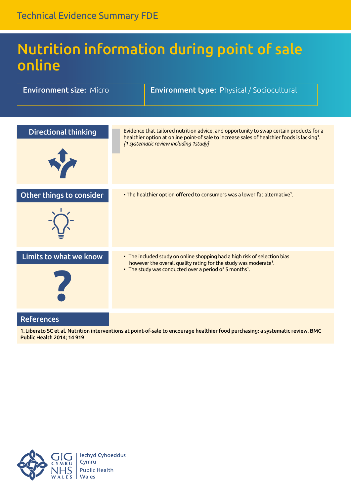### Nutrition information during point of sale online

| <b>Environment size: Micro</b> | <b>Environment type: Physical / Sociocultural</b>                                                                                                                                                                                            |
|--------------------------------|----------------------------------------------------------------------------------------------------------------------------------------------------------------------------------------------------------------------------------------------|
| <b>Directional thinking</b>    | Evidence that tailored nutrition advice, and opportunity to swap certain products for a<br>healthier option at online point-of sale to increase sales of healthier foods is lacking <sup>1</sup> .<br>[1 systematic review including 1study] |
| Other things to consider       | • The healthier option offered to consumers was a lower fat alternative <sup>1</sup> .                                                                                                                                                       |
| Limits to what we know         | • The included study on online shopping had a high risk of selection bias<br>however the overall quality rating for the study was moderate <sup>1</sup> .<br>• The study was conducted over a period of 5 months <sup>1</sup> .              |
| <b>References</b>              |                                                                                                                                                                                                                                              |

1.Liberato SC et al. Nutrition interventions at point-of-sale to encourage healthier food purchasing: a systematic review. BMC Public Health 2014; 14 919

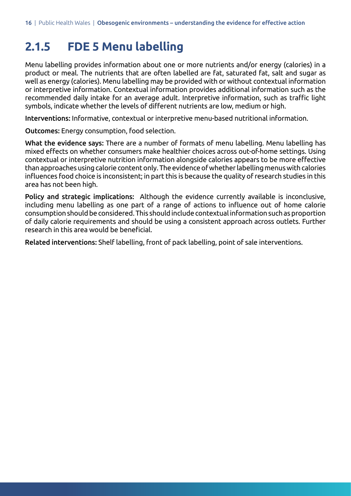#### **2.1.5 FDE 5 Menu labelling**

Menu labelling provides information about one or more nutrients and/or energy (calories) in a product or meal. The nutrients that are often labelled are fat, saturated fat, salt and sugar as well as energy (calories). Menu labelling may be provided with or without contextual information or interpretive information. Contextual information provides additional information such as the recommended daily intake for an average adult. Interpretive information, such as traffic light symbols, indicate whether the levels of different nutrients are low, medium or high.

Interventions: Informative, contextual or interpretive menu-based nutritional information.

Outcomes: Energy consumption, food selection.

What the evidence says: There are a number of formats of menu labelling. Menu labelling has mixed effects on whether consumers make healthier choices across out-of-home settings. Using contextual or interpretive nutrition information alongside calories appears to be more effective than approaches using calorie content only. The evidence of whether labelling menus with calories influences food choice is inconsistent; in part this is because the quality ofresearch studies in this area has not been high.

Policy and strategic implications: Although the evidence currently available is inconclusive, including menu labelling as one part of a range of actions to influence out of home calorie consumptionshouldbeconsidered.This shouldincludecontextual informationsuchasproportion of daily calorie requirements and should be using a consistent approach across outlets. Further research in this area would be beneficial.

Related interventions: Shelf labelling, front of pack labelling, point of sale interventions.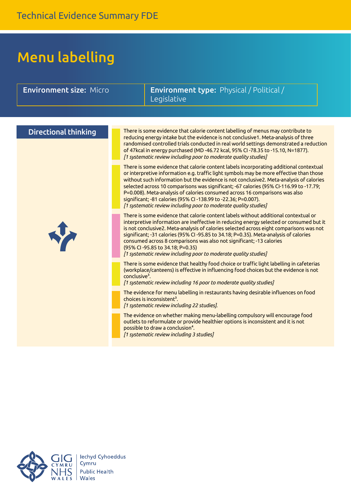## Menu labelling

| <b>Environment size: Micro</b> | <b>Environment type:</b> Physical / Political /<br>Legislative                                                                                                                                                                                                                                                                                                                                                                                                                                                                                                                             |
|--------------------------------|--------------------------------------------------------------------------------------------------------------------------------------------------------------------------------------------------------------------------------------------------------------------------------------------------------------------------------------------------------------------------------------------------------------------------------------------------------------------------------------------------------------------------------------------------------------------------------------------|
|                                |                                                                                                                                                                                                                                                                                                                                                                                                                                                                                                                                                                                            |
| <b>Directional thinking</b>    | There is some evidence that calorie content labelling of menus may contribute to<br>reducing energy intake but the evidence is not conclusive1. Meta-analysis of three<br>randomised controlled trials conducted in real world settings demonstrated a reduction<br>of 47kcal in energy purchased (MD-46.72 kcal, 95% CI-78.35 to -15.10, N=1877).<br>[1 systematic review including poor to moderate quality studies]                                                                                                                                                                     |
|                                | There is some evidence that calorie content labels incorporating additional contextual<br>or interpretive information e.g. traffic light symbols may be more effective than those<br>without such information but the evidence is not conclusive2. Meta-analysis of calories<br>selected across 10 comparisons was significant; -67 calories (95% CI-116.99 to -17.79;<br>P=0.008). Meta-analysis of calories consumed across 16 comparisons was also<br>significant; -81 calories (95% CI-138.99 to -22.36; P=0.007).<br>[1 systematic review including poor to moderate quality studies] |
| N                              | There is some evidence that calorie content labels without additional contextual or<br>interpretive information are ineffective in reducing energy selected or consumed but it<br>is not conclusive2. Meta-analysis of calories selected across eight comparisons was not<br>significant; -31 calories (95% CI-95.85 to 34.18; P=0.35). Meta-analysis of calories<br>consumed across 8 comparisons was also not significant; -13 calories<br>(95% CI-95.85 to 34.18; P=0.35)<br>[1 systematic review including poor to moderate quality studies]                                           |
|                                | There is some evidence that healthy food choice or traffic light labelling in cafeterias<br>(workplace/canteens) is effective in influencing food choices but the evidence is not<br>conclusive <sup>3</sup> .<br>[1 systematic review including 16 poor to moderate quality studies]                                                                                                                                                                                                                                                                                                      |
|                                | The evidence for menu labelling in restaurants having desirable influences on food<br>choices is inconsistent <sup>3</sup> .<br>[1 systematic review including 22 studies].                                                                                                                                                                                                                                                                                                                                                                                                                |
|                                | The evidence on whether making menu-labelling compulsory will encourage food<br>outlets to reformulate or provide healthier options is inconsistent and it is not<br>possible to draw a conclusion <sup>4</sup> .<br>[1 systematic review including 3 studies]                                                                                                                                                                                                                                                                                                                             |

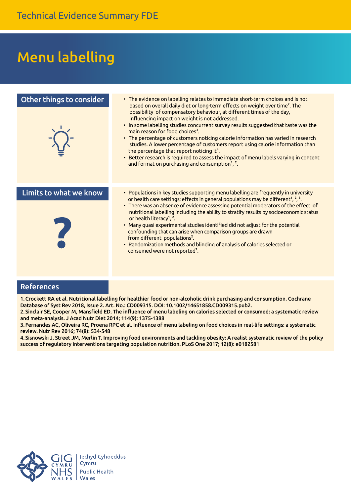### Menu labelling

| Other things to consider | • The evidence on labelling relates to immediate short-term choices and is not<br>based on overall daily diet or long-term effects on weight over time <sup>2</sup> . The<br>possibility of compensatory behaviour, at different times of the day,<br>influencing impact on weight is not addressed.<br>. In some labelling studies concurrent survey results suggested that taste was the<br>main reason for food choices <sup>3</sup> .<br>• The percentage of customers noticing calorie information has varied in research<br>studies. A lower percentage of customers report using calorie information than<br>the percentage that report noticing it <sup>4</sup> .<br>• Better research is required to assess the impact of menu labels varying in content<br>and format on purchasing and consumption <sup>1</sup> , $2$ . |
|--------------------------|------------------------------------------------------------------------------------------------------------------------------------------------------------------------------------------------------------------------------------------------------------------------------------------------------------------------------------------------------------------------------------------------------------------------------------------------------------------------------------------------------------------------------------------------------------------------------------------------------------------------------------------------------------------------------------------------------------------------------------------------------------------------------------------------------------------------------------|
|                          |                                                                                                                                                                                                                                                                                                                                                                                                                                                                                                                                                                                                                                                                                                                                                                                                                                    |
| Limits to what we know   | • Populations in key studies supporting menu labelling are frequently in university<br>or health care settings; effects in general populations may be different <sup>1</sup> , <sup>2</sup> , <sup>3</sup> .<br>• There was an absence of evidence assessing potential moderators of the effect of<br>nutritional labelling including the ability to stratify results by socioeconomic status<br>or health literacy <sup>1</sup> , <sup>2</sup> .<br>• Many quasi experimental studies identified did not adjust for the potential<br>confounding that can arise when comparison groups are drawn<br>from different populations <sup>2</sup> .<br>• Randomization methods and blinding of analysis of calories selected or<br>consumed were not reported <sup>2</sup> .                                                            |

#### References

1.Crockett RA et al. Nutritional labelling for healthier food or non-alcoholic drink purchasing and consumption. Cochrane Database of Syst Rev 2018, Issue 2. Art. No.: CD009315. DOI: 10.1002/14651858.CD009315.pub2.

2.Sinclair SE, Cooper M, Mansfield ED. The influence of menu labeling on calories selected or consumed: a systematic review and meta-analysis. J Acad Nutr Diet 2014; 114(9): 1375-1388

3.Fernandes AC, Oliveira RC, Proena RPC et al. Influence of menu labeling on food choices in real-life settings: a systematic review. Nutr Rev 2016; 74(8): 534-548

4.Sisnowski J, Street JM, Merlin T. Improving food environments and tackling obesity: A realist systematic review of the policy success of regulatory interventions targeting population nutrition. PLoS One 2017; 12(8): e0182581

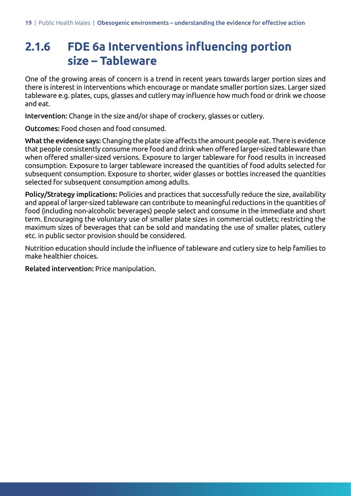### **2.1.6 FDE 6a Interventions influencing portion size – Tableware**

One of the growing areas of concern is a trend in recent years towards larger portion sizes and there is interest in interventions which encourage or mandate smaller portion sizes. Larger sized tableware e.g. plates, cups, glasses and cutlery may influence how much food or drink we choose and eat.

Intervention: Change in the size and/or shape of crockery, glasses or cutlery.

Outcomes: Food chosen and food consumed.

What the evidence says: Changing the plate size affects the amount people eat. There is evidence that people consistently consume more food and drink when offered larger-sized tableware than when offered smaller-sized versions. Exposure to larger tableware for food results in increased consumption. Exposure to larger tableware increased the quantities of food adults selected for subsequent consumption. Exposure to shorter, wider glasses or bottles increased the quantities selected for subsequent consumption among adults.

Policy/Strategy implications: Policies and practices that successfully reduce the size, availability and appeal of larger-sized tableware can contribute to meaningful reductions in the quantities of food (including non-alcoholic beverages) people select and consume in the immediate and short term. Encouraging the voluntary use of smaller plate sizes in commercial outlets; restricting the maximum sizes of beverages that can be sold and mandating the use of smaller plates, cutlery etc. in public sector provision should be considered.

Nutrition education should include the influence of tableware and cutlery size to help families to make healthier choices.

Related intervention: Price manipulation.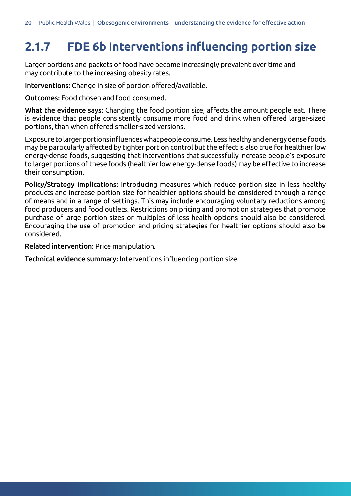### **2.1.7 FDE 6b Interventions influencing portion size**

Larger portions and packets of food have become increasingly prevalent over time and may contribute to the increasing obesity rates.

Interventions: Change in size of portion offered/available.

Outcomes: Food chosen and food consumed.

What the evidence says: Changing the food portion size, affects the amount people eat. There is evidence that people consistently consume more food and drink when offered larger-sized portions, than when offered smaller-sized versions.

Exposure to larger portions influences what people consume. Less healthy and energy dense foods may be particularly affected by tighter portion control but the effect is also true for healthierlow energy-dense foods, suggesting that interventions that successfully increase people's exposure to larger portions of these foods (healthier low energy-dense foods) may be effective to increase their consumption.

Policy/Strategy implications: Introducing measures which reduce portion size in less healthy products and increase portion size for healthier options should be considered through a range of means and in a range of settings. This may include encouraging voluntary reductions among food producers and food outlets. Restrictions on pricing and promotion strategies that promote purchase of large portion sizes or multiples of less health options should also be considered. Encouraging the use of promotion and pricing strategies for healthier options should also be considered.

Related intervention: Price manipulation.

Technical evidence summary: Interventions influencing portion size.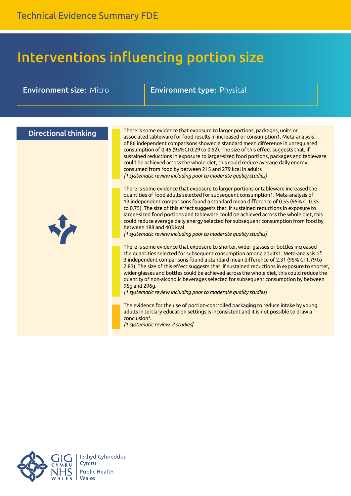### Interventions influencing portion size

| <b>Environment size: Micro</b> | <b>Environment type: Physical</b>                                                                                                                                                                                                                                                                                                                                                                                                                                                                                                                                                                                                       |
|--------------------------------|-----------------------------------------------------------------------------------------------------------------------------------------------------------------------------------------------------------------------------------------------------------------------------------------------------------------------------------------------------------------------------------------------------------------------------------------------------------------------------------------------------------------------------------------------------------------------------------------------------------------------------------------|
|                                |                                                                                                                                                                                                                                                                                                                                                                                                                                                                                                                                                                                                                                         |
|                                |                                                                                                                                                                                                                                                                                                                                                                                                                                                                                                                                                                                                                                         |
| <b>Directional thinking</b>    | There is some evidence that exposure to larger portions, packages, units or<br>associated tableware for food results in increased or consumption1. Meta-analysis<br>of 86 independent comparisons showed a standard mean difference in unregulated<br>consumption of 0.46 (95%CI 0.29 to 0.52). The size of this effect suggests that, if                                                                                                                                                                                                                                                                                               |
|                                | sustained reductions in exposure to larger-sized food portions, packages and tableware<br>could be achieved across the whole diet, this could reduce average daily energy<br>consumed from food by between 215 and 279 kcal in adults<br>[1 systematic review including poor to moderate quality studies]                                                                                                                                                                                                                                                                                                                               |
| J.                             | There is some evidence that exposure to larger portions or tableware increased the<br>quantities of food adults selected for subsequent consumption1. Meta-analysis of<br>13 independent comparisons found a standard mean difference of 0.55 (95% CI 0.35<br>to 0.75). The size of this effect suggests that, if sustained reductions in exposure to<br>larger-sized food portions and tableware could be achieved across the whole diet, this<br>could reduce average daily energy selected for subsequent consumption from food by<br>between 188 and 403 kcal<br>[1 systematic review including poor to moderate quality studies]   |
|                                | There is some evidence that exposure to shorter, wider glasses or bottles increased<br>the quantities selected for subsequent consumption among adults1. Meta-analysis of<br>3 independent comparisons found a standard mean difference of 2.31 (95% CI 1.79 to<br>2.83). The size of this effect suggests that, if sustained reductions in exposure to shorter,<br>wider glasses and bottles could be achieved across the whole diet, this could reduce the<br>quantity of non-alcoholic beverages selected for subsequent consumption by between<br>95g and 296g.<br>[1 systematic review including poor to moderate quality studies] |
|                                | The evidence for the use of portion-controlled packaging to reduce intake by young<br>adults in tertiary education settings is inconsistent and it is not possible to draw a<br>conclusion <sup>3</sup> .<br>[1 systematic review, 2 studies]                                                                                                                                                                                                                                                                                                                                                                                           |

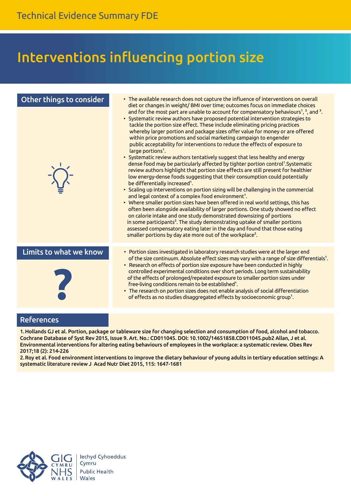### Interventions influencing portion size



#### References

1.Hollands GJ et al. Portion, package or tableware size for changing selection and consumption of food, alcohol and tobacco. Cochrane Database of Syst Rev 2015, Issue 9. Art. No.: CD011045. DOI: 10.1002/14651858.CD011045.pub2 Allan, J et al. Environmental interventions for altering eating behaviours of employees in the workplace: a systematic review. Obes Rev 2017;18 (2): 214-226

2.Roy et al. Food environment interventions to improve the dietary behaviour of young adults in tertiary education settings: A systematic literature review J Acad Nutr Diet 2015, 115: 1647-1681

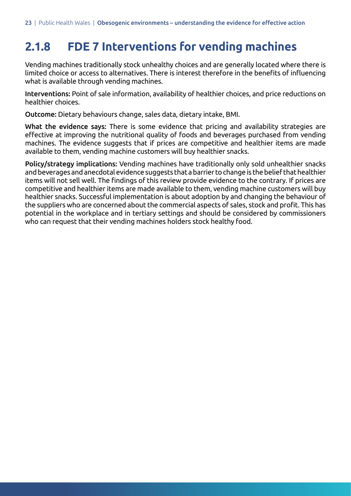### **2.1.8 FDE 7 Interventions for vending machines**

Vending machines traditionally stock unhealthy choices and are generally located where there is limited choice or access to alternatives. There is interest therefore in the benefits of influencing what is available through vending machines.

Interventions: Point of sale information, availability of healthier choices, and price reductions on healthier choices.

Outcome: Dietary behaviours change, sales data, dietary intake, BMI.

What the evidence says: There is some evidence that pricing and availability strategies are effective at improving the nutritional quality of foods and beverages purchased from vending machines. The evidence suggests that if prices are competitive and healthier items are made available to them, vending machine customers will buy healthier snacks.

Policy/strategy implications: Vending machines have traditionally only sold unhealthier snacks and beverages and anecdotal evidence suggests that a barrier to change is the belief that healthier items will not sell well. The findings of this review provide evidence to the contrary. If prices are competitive and healthier items are made available to them, vending machine customers will buy healthier snacks. Successful implementation is about adoption by and changing the behaviour of the suppliers who are concerned about the commercial aspects of sales, stock and profit. This has potential in the workplace and in tertiary settings and should be considered by commissioners who can request that their vending machines holders stock healthy food.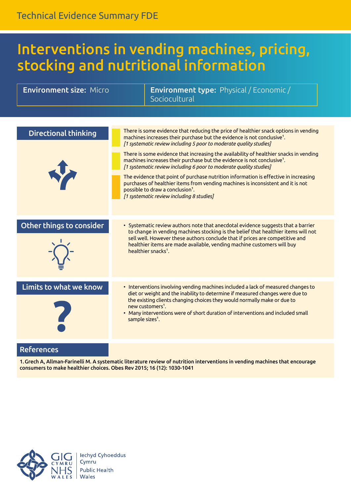### Interventions in vending machines, pricing, stocking and nutritional information

| <b>Environment size: Micro</b> |                             | <b>Environment type:</b> Physical / Economic /<br>Sociocultural                                                                                                                                                                                                                                                                                                                                                                                                                                                                                                                                                                                                                                                                                                                   |  |
|--------------------------------|-----------------------------|-----------------------------------------------------------------------------------------------------------------------------------------------------------------------------------------------------------------------------------------------------------------------------------------------------------------------------------------------------------------------------------------------------------------------------------------------------------------------------------------------------------------------------------------------------------------------------------------------------------------------------------------------------------------------------------------------------------------------------------------------------------------------------------|--|
|                                |                             |                                                                                                                                                                                                                                                                                                                                                                                                                                                                                                                                                                                                                                                                                                                                                                                   |  |
| <b>Directional thinking</b>    |                             | There is some evidence that reducing the price of healthier snack options in vending<br>machines increases their purchase but the evidence is not conclusive <sup>1</sup> .<br>[1 systematic review including 5 poor to moderate quality studies]<br>There is some evidence that increasing the availability of healthier snacks in vending<br>machines increases their purchase but the evidence is not conclusive <sup>1</sup> .<br>[1 systematic review including 6 poor to moderate quality studies]<br>The evidence that point of purchase nutrition information is effective in increasing<br>purchases of healthier items from vending machines is inconsistent and it is not<br>possible to draw a conclusion <sup>1</sup> .<br>[1 systematic review including 8 studies] |  |
| Other things to consider       |                             | • Systematic review authors note that anecdotal evidence suggests that a barrier<br>to change in vending machines stocking is the belief that healthier items will not<br>sell well. However these authors conclude that if prices are competitive and<br>healthier items are made available, vending machine customers will buy<br>healthier snacks <sup>1</sup> .                                                                                                                                                                                                                                                                                                                                                                                                               |  |
| Limits to what we know         | sample sizes <sup>1</sup> . | • Interventions involving vending machines included a lack of measured changes to<br>diet or weight and the inability to determine if measured changes were due to<br>the existing clients changing choices they would normally make or due to<br>new customers <sup>1</sup> .<br>• Many interventions were of short duration of interventions and included small                                                                                                                                                                                                                                                                                                                                                                                                                 |  |
|                                |                             |                                                                                                                                                                                                                                                                                                                                                                                                                                                                                                                                                                                                                                                                                                                                                                                   |  |

#### References

1.Grech A, Allman-Farinelli M. A systematic literature review of nutrition interventions in vending machines that encourage consumers to make healthier choices. Obes Rev 2015; 16 (12): 1030-1041

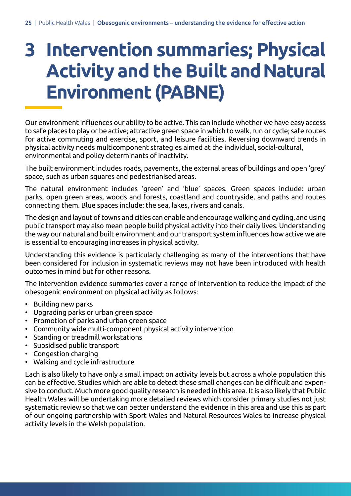# **3 Intervention summaries; Physical Activity and the Built and Natural Environment (PABNE)**

Our environment influences our ability to be active. This can include whether we have easy access to safe places to play or be active; attractive green space in which to walk, run or cycle; safe routes for active commuting and exercise, sport, and leisure facilities. Reversing downward trends in physical activity needs multicomponent strategies aimed at the individual, social-cultural, environmental and policy determinants of inactivity.

The built environment includes roads, pavements, the external areas of buildings and open 'grey' space, such as urban squares and pedestrianised areas.

The natural environment includes 'green' and 'blue' spaces. Green spaces include: urban parks, open green areas, woods and forests, coastland and countryside, and paths and routes connecting them. Blue spaces include: the sea, lakes, rivers and canals.

The design and layout of towns and cities can enable and encourage walking and cycling, and using public transport may also mean people build physical activity into their daily lives. Understanding the way our natural and built environment and our transport system influences how active we are is essential to encouraging increases in physical activity.

Understanding this evidence is particularly challenging as many of the interventions that have been considered for inclusion in systematic reviews may not have been introduced with health outcomes in mind but for other reasons.

The intervention evidence summaries cover a range of intervention to reduce the impact of the obesogenic environment on physical activity as follows:

- Building new parks
- Upgrading parks or urban green space
- Promotion of parks and urban green space
- Community wide multi-component physical activity intervention
- Standing or treadmill workstations
- Subsidised public transport
- Congestion charging
- Walking and cycle infrastructure

Each is also likely to have only a small impact on activity levels but across a whole population this can be effective. Studies which are able to detect these small changes can be difficult and expensive to conduct. Much more good quality research is needed in this area. It is also likely that Public Health Wales will be undertaking more detailed reviews which consider primary studies not just systematic review so that we can better understand the evidence in this area and use this as part of our ongoing partnership with Sport Wales and Natural Resources Wales to increase physical activity levels in the Welsh population.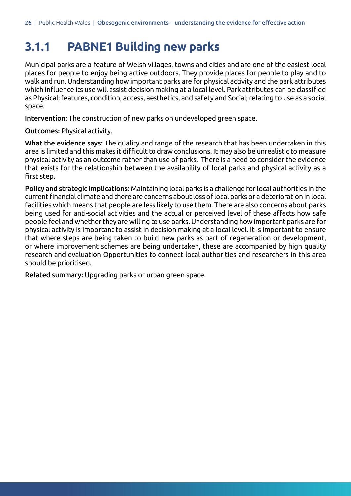#### **3.1.1 PABNE1 Building new parks**

Municipal parks are a feature of Welsh villages, towns and cities and are one of the easiest local places for people to enjoy being active outdoors. They provide places for people to play and to walk and run. Understanding how important parks are for physical activity and the park attributes which influence its use will assist decision making at a local level. Park attributes can be classified as Physical; features, condition, access, aesthetics, and safety and Social; relating to use as a social space.

Intervention: The construction of new parks on undeveloped green space.

Outcomes: Physical activity.

What the evidence says: The quality and range of the research that has been undertaken in this area is limited and this makes it difficult to draw conclusions. It may also be unrealistic to measure physical activity as an outcome rather than use of parks. There is a need to consider the evidence that exists for the relationship between the availability of local parks and physical activity as a first step.

Policy and strategic implications: Maintaining local parks is a challenge for local authorities in the currentfinancial climate and there are concerns about loss oflocal parks or a deterioration in local facilities which means that people are less likely to use them. There are also concerns about parks being used for anti-social activities and the actual or perceived level of these affects how safe people feel and whether they are willing to use parks. Understanding how important parks are for physical activity is important to assist in decision making at a local level. It is important to ensure that where steps are being taken to build new parks as part of regeneration or development, or where improvement schemes are being undertaken, these are accompanied by high quality research and evaluation Opportunities to connect local authorities and researchers in this area should be prioritised.

Related summary: Upgrading parks or urban green space.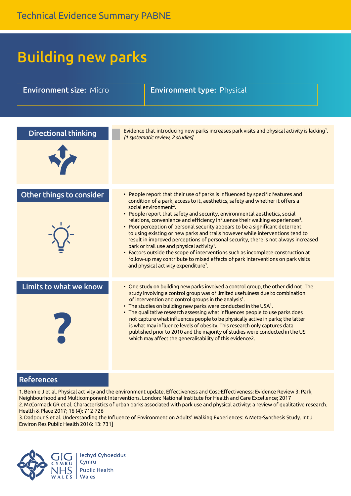## Building new parks

| <b>Environment size: Micro</b> | <b>Environment type: Physical</b>                                                                                                                                                                                                                                                                                                                                                                                                                                                                                                                                                                                                                                                                                                                                                                                                                                                                                        |
|--------------------------------|--------------------------------------------------------------------------------------------------------------------------------------------------------------------------------------------------------------------------------------------------------------------------------------------------------------------------------------------------------------------------------------------------------------------------------------------------------------------------------------------------------------------------------------------------------------------------------------------------------------------------------------------------------------------------------------------------------------------------------------------------------------------------------------------------------------------------------------------------------------------------------------------------------------------------|
|                                |                                                                                                                                                                                                                                                                                                                                                                                                                                                                                                                                                                                                                                                                                                                                                                                                                                                                                                                          |
| <b>Directional thinking</b>    | Evidence that introducing new parks increases park visits and physical activity is lacking <sup>1</sup> .<br>[1 systematic review, 2 studies]                                                                                                                                                                                                                                                                                                                                                                                                                                                                                                                                                                                                                                                                                                                                                                            |
|                                |                                                                                                                                                                                                                                                                                                                                                                                                                                                                                                                                                                                                                                                                                                                                                                                                                                                                                                                          |
| Other things to consider       | • People report that their use of parks is influenced by specific features and<br>condition of a park, access to it, aesthetics, safety and whether it offers a<br>social environment <sup>2</sup> .<br>• People report that safety and security, environmental aesthetics, social<br>relations, convenience and efficiency influence their walking experiences <sup>3</sup> .<br>• Poor perception of personal security appears to be a significant deterrent<br>to using existing or new parks and trails however while interventions tend to<br>result in improved perceptions of personal security, there is not always increased<br>park or trail use and physical activity <sup>1</sup> .<br>• Factors outside the scope of interventions such as incomplete construction at<br>follow-up may contribute to mixed effects of park interventions on park visits<br>and physical activity expenditure <sup>1</sup> . |
| Limits to what we know         | • One study on building new parks involved a control group, the other did not. The<br>study involving a control group was of limited usefulness due to combination<br>of intervention and control groups in the analysis <sup>1</sup> .<br>• The studies on building new parks were conducted in the USA <sup>1</sup> .<br>• The qualitative research assessing what influences people to use parks does<br>not capture what influences people to be physically active in parks; the latter<br>is what may influence levels of obesity. This research only captures data<br>published prior to 2010 and the majority of studies were conducted in the US<br>which may affect the generalisability of this evidence2.                                                                                                                                                                                                     |

#### References

1. Bennie J et al. Physical activity and the environment update, Effectiveness and Cost-Effectiveness: Evidence Review 3: Park, Neighbourhood and Multicomponent Interventions. London: National Institute for Health and Care Excellence; 2017 2.McCormack GR et al. Characteristics of urban parks associated with park use and physical activity: a review of qualitative research. Health & Place 2017; 16 (4): 712-726

3. Dadpour S et al. Understanding the Influence of Environment on Adults' Walking Experiences: A Meta-Synthesis Study. Int J Environ Res Public Health 2016: 13: 731]

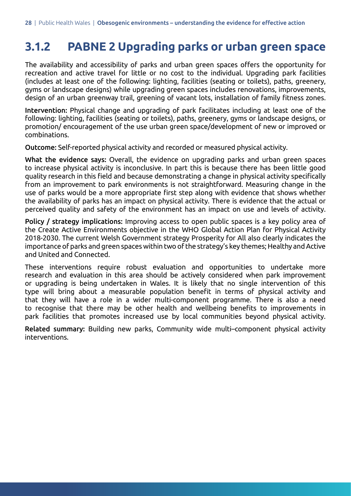#### **3.1.2 PABNE 2 Upgrading parks or urban green space**

The availability and accessibility of parks and urban green spaces offers the opportunity for recreation and active travel for little or no cost to the individual. Upgrading park facilities (includes at least one of the following: lighting, facilities (seating or toilets), paths, greenery, gyms or landscape designs) while upgrading green spaces includes renovations, improvements, design of an urban greenway trail, greening of vacant lots, installation of family fitness zones.

Intervention: Physical change and upgrading of park facilitates including at least one of the following: lighting, facilities (seating or toilets), paths, greenery, gyms or landscape designs, or promotion/ encouragement of the use urban green space/development of new or improved or combinations.

Outcome: Self-reported physical activity and recorded or measured physical activity.

What the evidence says: Overall, the evidence on upgrading parks and urban green spaces to increase physical activity is inconclusive. In part this is because there has been little good quality research in this field and because demonstrating a change in physical activity specifically from an improvement to park environments is not straightforward. Measuring change in the use of parks would be a more appropriate first step along with evidence that shows whether the availability of parks has an impact on physical activity. There is evidence that the actual or perceived quality and safety of the environment has an impact on use and levels of activity.

Policy / strategy implications: Improving access to open public spaces is a key policy area of the Create Active Environments objective in the WHO Global Action Plan for Physical Activity 2018-2030. The current Welsh Government strategy Prosperity for All also clearly indicates the importance of parks and green spaces within two of the strategy's key themes; Healthy and Active and United and Connected.

These interventions require robust evaluation and opportunities to undertake more research and evaluation in this area should be actively considered when park improvement or upgrading is being undertaken in Wales. It is likely that no single intervention of this type will bring about a measurable population benefit in terms of physical activity and that they will have a role in a wider multi-component programme. There is also a need to recognise that there may be other health and wellbeing benefits to improvements in park facilities that promotes increased use by local communities beyond physical activity.

Related summary: Building new parks, Community wide multi–component physical activity interventions.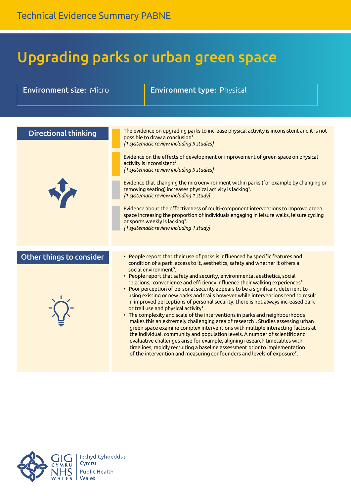## Upgrading parks or urban green space

| <b>Environment size: Micro</b> | <b>Environment type: Physical</b>                                                                                                                                                                                                                                                                                                                                                                                                                                                                                                                                                                                                                                                                                                                                                                                                                                                                                                                                                                                                                                                                                                                                                                                                                                                                  |
|--------------------------------|----------------------------------------------------------------------------------------------------------------------------------------------------------------------------------------------------------------------------------------------------------------------------------------------------------------------------------------------------------------------------------------------------------------------------------------------------------------------------------------------------------------------------------------------------------------------------------------------------------------------------------------------------------------------------------------------------------------------------------------------------------------------------------------------------------------------------------------------------------------------------------------------------------------------------------------------------------------------------------------------------------------------------------------------------------------------------------------------------------------------------------------------------------------------------------------------------------------------------------------------------------------------------------------------------|
|                                |                                                                                                                                                                                                                                                                                                                                                                                                                                                                                                                                                                                                                                                                                                                                                                                                                                                                                                                                                                                                                                                                                                                                                                                                                                                                                                    |
| <b>Directional thinking</b>    | The evidence on upgrading parks to increase physical activity is inconsistent and it is not<br>possible to draw a conclusion <sup>1</sup> .<br>[1 systematic review including 9 studies]                                                                                                                                                                                                                                                                                                                                                                                                                                                                                                                                                                                                                                                                                                                                                                                                                                                                                                                                                                                                                                                                                                           |
|                                | Evidence on the effects of development or improvement of green space on physical<br>activity is inconsistent <sup>2</sup> .<br>[1 systematic review including 9 studies]<br>Evidence that changing the microenvironment within parks (for example by changing or<br>removing seating) increases physical activity is lacking <sup>1</sup> .<br>[1 systematic review including 1 study]<br>Evidence about the effectiveness of multi-component interventions to improve green<br>space increasing the proportion of individuals engaging in leisure walks, leisure cycling<br>or sports weekly is lacking <sup>1</sup> .<br>[1 systematic review including 1 study]                                                                                                                                                                                                                                                                                                                                                                                                                                                                                                                                                                                                                                 |
| Other things to consider       | • People report that their use of parks is influenced by specific features and<br>condition of a park, access to it, aesthetics, safety and whether it offers a<br>social environment <sup>3</sup> .<br>• People report that safety and security, environmental aesthetics, social<br>relations, convenience and efficiency influence their walking experiences <sup>4</sup> .<br>• Poor perception of personal security appears to be a significant deterrent to<br>using existing or new parks and trails however while interventions tend to result<br>in improved perceptions of personal security, there is not always increased park<br>or trail use and physical activity <sup>1</sup> .<br>• The complexity and scale of the interventions in parks and neighbourhoods<br>makes this an extremely challenging area of research <sup>1</sup> . Studies assessing urban<br>green space examine complex interventions with multiple interacting factors at<br>the individual, community and population levels. A number of scientific and<br>evaluative challenges arise for example, aligning research timetables with<br>timelines, rapidly recruiting a baseline assessment prior to implementation<br>of the intervention and measuring confounders and levels of exposure <sup>2</sup> . |

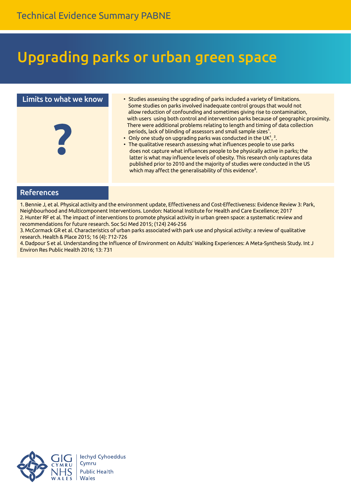### Upgrading parks or urban green space

#### Limits to what we know



- Studies assessing the upgrading of parks included a variety of limitations. Some studies on parks involved inadequate control groups that would not allow reduction of confounding and sometimes giving rise to contamination, with users using both control and intervention parks because of geographic proximity. There were additional problems relating to length and timing of data collection periods, lack of blinding of assessors and small sample sizes<sup>1</sup>.
- $\bullet$  Only one study on upgrading parks was conducted in the UK<sup>1</sup>, <sup>2</sup>.
- The qualitative research assessing what influences people to use parks does not capture what influences people to be physically active in parks; the latter is what may influence levels of obesity. This research only captures data published prior to 2010 and the majority of studies were conducted in the US which may affect the generalisability of this evidence<sup>3</sup>.

#### References

1. Bennie J, et al. Physical activity and the environment update, Effectiveness and Cost-Effectiveness: Evidence Review 3: Park, Neighbourhood and Multicomponent Interventions. London: National Institute for Health and Care Excellence; 2017 2. Hunter RF et al. The impact of interventions to promote physical activity in urban green space: a systematic review and recommendations for future research. Soc Sci Med 2015; (124) 246-256

3.McCormack GR et al. Characteristics of urban parks associated with park use and physical activity: a review of qualitative research. Health & Place 2015; 16 (4): 712-726

4. Dadpour S et al. Understanding the Influence of Environment on Adults' Walking Experiences: A Meta-Synthesis Study. Int J Environ Res Public Health 2016; 13: 731

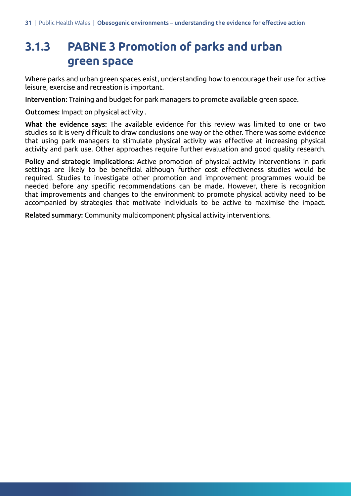### **3.1.3 PABNE 3 Promotion of parks and urban green space**

Where parks and urban green spaces exist, understanding how to encourage their use for active leisure, exercise and recreation is important.

Intervention: Training and budget for park managers to promote available green space.

Outcomes: Impact on physical activity .

What the evidence says: The available evidence for this review was limited to one or two studies so it is very difficult to draw conclusions one way or the other. There was some evidence that using park managers to stimulate physical activity was effective at increasing physical activity and park use. Other approaches require further evaluation and good quality research.

Policy and strategic implications: Active promotion of physical activity interventions in park settings are likely to be beneficial although further cost effectiveness studies would be required. Studies to investigate other promotion and improvement programmes would be needed before any specific recommendations can be made. However, there is recognition that improvements and changes to the environment to promote physical activity need to be accompanied by strategies that motivate individuals to be active to maximise the impact.

Related summary: Community multicomponent physical activity interventions.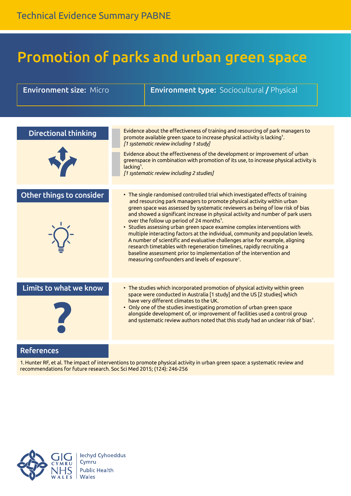### Promotion of parks and urban green space

| <b>Environment size: Micro</b> |              | <b>Environment type:</b> Sociocultural / Physical                                                                                                                                                                                                                                                                                                                                                                                                                                                                                                                                                                                                                                                                                                                                                                                                     |
|--------------------------------|--------------|-------------------------------------------------------------------------------------------------------------------------------------------------------------------------------------------------------------------------------------------------------------------------------------------------------------------------------------------------------------------------------------------------------------------------------------------------------------------------------------------------------------------------------------------------------------------------------------------------------------------------------------------------------------------------------------------------------------------------------------------------------------------------------------------------------------------------------------------------------|
|                                |              |                                                                                                                                                                                                                                                                                                                                                                                                                                                                                                                                                                                                                                                                                                                                                                                                                                                       |
|                                |              |                                                                                                                                                                                                                                                                                                                                                                                                                                                                                                                                                                                                                                                                                                                                                                                                                                                       |
| <b>Directional thinking</b>    |              | Evidence about the effectiveness of training and resourcing of park managers to<br>promote available green space to increase physical activity is lacking <sup>1</sup> .<br>[1 systematic review including 1 study]                                                                                                                                                                                                                                                                                                                                                                                                                                                                                                                                                                                                                                   |
|                                | $lacking1$ . | Evidence about the effectiveness of the development or improvement of urban<br>greenspace in combination with promotion of its use, to increase physical activity is<br>[1 systematic review including 2 studies]                                                                                                                                                                                                                                                                                                                                                                                                                                                                                                                                                                                                                                     |
|                                |              |                                                                                                                                                                                                                                                                                                                                                                                                                                                                                                                                                                                                                                                                                                                                                                                                                                                       |
| Other things to consider       |              | • The single randomised controlled trial which investigated effects of training<br>and resourcing park managers to promote physical activity within urban<br>green space was assessed by systematic reviewers as being of low risk of bias<br>and showed a significant increase in physical activity and number of park users<br>over the follow up period of 24 months <sup>1</sup> .<br>• Studies assessing urban green space examine complex interventions with<br>multiple interacting factors at the individual, community and population levels.<br>A number of scientific and evaluative challenges arise for example, aligning<br>research timetables with regeneration timelines, rapidly recruiting a<br>baseline assessment prior to implementation of the intervention and<br>measuring confounders and levels of exposure <sup>1</sup> . |
| Limits to what we know         |              | • The studies which incorporated promotion of physical activity within green<br>space were conducted in Australia [1 study] and the US [2 studies] which<br>have very different climates to the UK.<br>• Only one of the studies investigating promotion of urban green space<br>alongside development of, or improvement of facilities used a control group<br>and systematic review authors noted that this study had an unclear risk of bias <sup>1</sup> .                                                                                                                                                                                                                                                                                                                                                                                        |
| <b>Doforoncoc</b>              |              |                                                                                                                                                                                                                                                                                                                                                                                                                                                                                                                                                                                                                                                                                                                                                                                                                                                       |

References

1. Hunter RF, et al. The impact of interventions to promote physical activity in urban green space: a systematic review and recommendations for future research. Soc Sci Med 2015; (124): 246-256

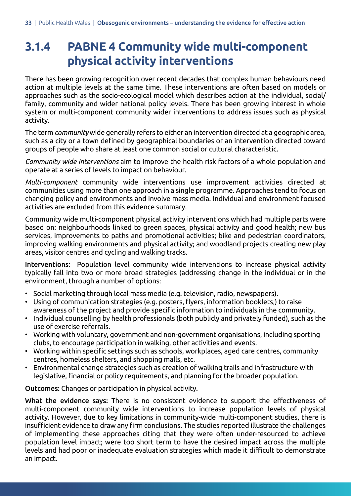### **3.1.4 PABNE 4 Community wide multi-component physical activity interventions**

There has been growing recognition over recent decades that complex human behaviours need action at multiple levels at the same time. These interventions are often based on models or approaches such as the socio-ecological model which describes action at the individual, social/ family, community and wider national policy levels. There has been growing interest in whole system or multi-component community wider interventions to address issues such as physical activity.

The term *community* wide generally refers to either an intervention directed at a geographic area, such as a city or a town defined by geographical boundaries or an intervention directed toward groups of people who share at least one common social or cultural characteristic.

*Community wide interventions* aim to improve the health risk factors of a whole population and operate at a series of levels to impact on behaviour.

*Multi-component* community wide interventions use improvement activities directed at communities using more than one approach in a single programme. Approaches tend to focus on changing policy and environments and involve mass media. Individual and environment focused activities are excluded from this evidence summary.

Community wide multi-component physical activity interventions which had multiple parts were based on: neighbourhoods linked to green spaces, physical activity and good health; new bus services, improvements to paths and promotional activities; bike and pedestrian coordinators, improving walking environments and physical activity; and woodland projects creating new play areas, visitor centres and cycling and walking tracks.

Interventions: Population level community wide interventions to increase physical activity typically fall into two or more broad strategies (addressing change in the individual or in the environment, through a number of options:

- Social marketing through local mass media (e.g. television, radio, newspapers).
- • Using of communication strategies (e.g. posters, flyers, information booklets,) to raise awareness of the project and provide specific information to individuals in the community.
- Individual counselling by health professionals (both publicly and privately funded), such as the use of exercise referrals.
- Working with voluntary, government and non-government organisations, including sporting clubs, to encourage participation in walking, other activities and events.
- • Working within specific settings such as schools, workplaces, aged care centres, community centres, homeless shelters, and shopping malls, etc.
- Environmental change strategies such as creation of walking trails and infrastructure with legislative, financial or policy requirements, and planning for the broader population.

Outcomes: Changes or participation in physical activity.

What the evidence says: There is no consistent evidence to support the effectiveness of multi-component community wide interventions to increase population levels of physical activity. However, due to key limitations in community-wide multi-component studies, there is insufficient evidence to draw any firm conclusions. The studies reported illustrate the challenges of implementing these approaches citing that they were often under-resourced to achieve population level impact; were too short term to have the desired impact across the multiple levels and had poor or inadequate evaluation strategies which made it difficult to demonstrate an impact.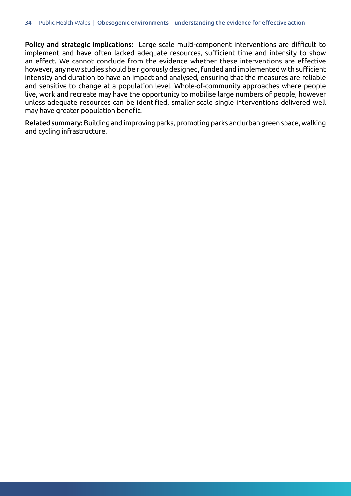Policy and strategic implications: Large scale multi-component interventions are difficult to implement and have often lacked adequate resources, sufficient time and intensity to show an effect. We cannot conclude from the evidence whether these interventions are effective however, any newstudies should be rigorously designed,funded and implementedwith sufficient intensity and duration to have an impact and analysed, ensuring that the measures are reliable and sensitive to change at a population level. Whole-of-community approaches where people live, work and recreate may have the opportunity to mobilise large numbers of people, however unless adequate resources can be identified, smaller scale single interventions delivered well may have greater population benefit.

Related summary: Building and improving parks, promoting parks and urban green space, walking and cycling infrastructure.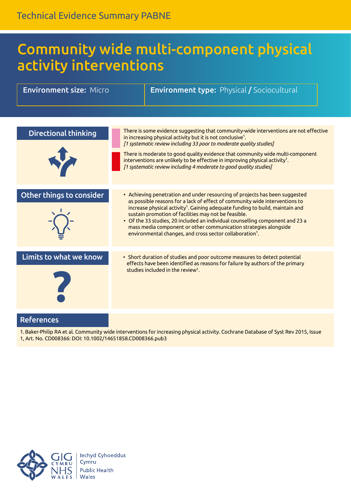### Community wide multi-component physical activity interventions

| <b>Environment size: Micro</b> | <b>Environment type: Physical / Sociocultural</b>                                                                                                                                                                                                                                                                                                                                                                                                                                                                                            |
|--------------------------------|----------------------------------------------------------------------------------------------------------------------------------------------------------------------------------------------------------------------------------------------------------------------------------------------------------------------------------------------------------------------------------------------------------------------------------------------------------------------------------------------------------------------------------------------|
|                                |                                                                                                                                                                                                                                                                                                                                                                                                                                                                                                                                              |
| <b>Directional thinking</b>    | There is some evidence suggesting that community-wide interventions are not effective<br>in increasing physical activity but it is not conclusive <sup>1</sup> .<br>[1 systematic review including 33 poor to moderate quality studies]<br>There is moderate to good quality evidence that community wide multi-component<br>interventions are unlikely to be effective in improving physical activity <sup>1</sup> .<br>[1 systematic review including 4 moderate to good quality studies]                                                  |
| Other things to consider       | • Achieving penetration and under resourcing of projects has been suggested<br>as possible reasons for a lack of effect of community wide interventions to<br>increase physical activity <sup>1</sup> . Gaining adequate funding to build, maintain and<br>sustain promotion of facilities may not be feasible.<br>• Of the 33 studies, 20 included an individual counselling component and 23 a<br>mass media component or other communication strategies alongside<br>environmental changes, and cross sector collaboration <sup>1</sup> . |
| Limits to what we know         | • Short duration of studies and poor outcome measures to detect potential<br>effects have been identified as reasons for failure by authors of the primary<br>studies included in the review <sup>1</sup> .                                                                                                                                                                                                                                                                                                                                  |
| <b>References</b>              |                                                                                                                                                                                                                                                                                                                                                                                                                                                                                                                                              |

1. Baker-Philip RA et al. Community wide interventions for increasing physical activity. Cochrane Database of Syst Rev 2015, Issue 1, Art. No. CD008366: DOI: 10.1002/14651858.CD008366.pub3

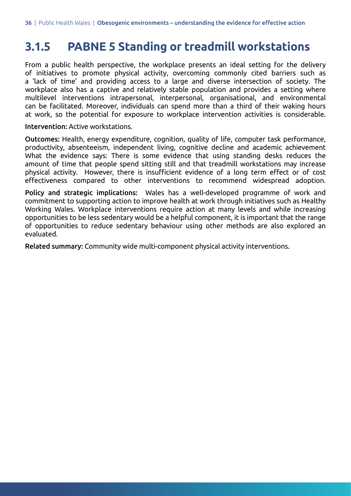#### **3.1.5 PABNE 5 Standing or treadmill workstations**

From a public health perspective, the workplace presents an ideal setting for the delivery of initiatives to promote physical activity, overcoming commonly cited barriers such as a 'lack of time' and providing access to a large and diverse intersection of society. The workplace also has a captive and relatively stable population and provides a setting where multilevel interventions intrapersonal, interpersonal, organisational, and environmental can be facilitated. Moreover, individuals can spend more than a third of their waking hours at work, so the potential for exposure to workplace intervention activities is considerable.

Intervention: Active workstations.

Outcomes: Health, energy expenditure, cognition, quality of life, computer task performance, productivity, absenteeism, independent living, cognitive decline and academic achievement What the evidence says: There is some evidence that using standing desks reduces the amount of time that people spend sitting still and that treadmill workstations may increase physical activity. However, there is insufficient evidence of a long term effect or of cost effectiveness compared to other interventions to recommend widespread adoption.

Policy and strategic implications: Wales has a well-developed programme of work and commitment to supporting action to improve health at work through initiatives such as Healthy Working Wales. Workplace interventions require action at many levels and while increasing opportunities to be less sedentary would be a helpful component, it is important that the range of opportunities to reduce sedentary behaviour using other methods are also explored an evaluated.

Related summary: Community wide multi-component physical activity interventions.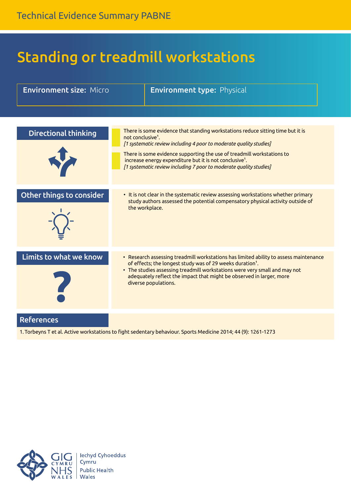## Standing or treadmill workstations

| <b>Environment size: Micro</b> | <b>Environment type: Physical</b>                                                                                                                                                                                                                                                                                                                                                                             |
|--------------------------------|---------------------------------------------------------------------------------------------------------------------------------------------------------------------------------------------------------------------------------------------------------------------------------------------------------------------------------------------------------------------------------------------------------------|
|                                |                                                                                                                                                                                                                                                                                                                                                                                                               |
| <b>Directional thinking</b>    | There is some evidence that standing workstations reduce sitting time but it is<br>not conclusive <sup>1</sup> .<br>[1 systematic review including 4 poor to moderate quality studies]<br>There is some evidence supporting the use of treadmill workstations to<br>increase energy expenditure but it is not conclusive <sup>1</sup> .<br>[1 systematic review including 7 poor to moderate quality studies] |
| Other things to consider       | • It is not clear in the systematic review assessing workstations whether primary<br>study authors assessed the potential compensatory physical activity outside of<br>the workplace.                                                                                                                                                                                                                         |
| Limits to what we know         | • Research assessing treadmill workstations has limited ability to assess maintenance<br>of effects; the longest study was of 29 weeks duration <sup>1</sup> .<br>• The studies assessing treadmill workstations were very small and may not<br>adequately reflect the impact that might be observed in larger, more<br>diverse populations.                                                                  |
| <b>References</b>              | 1. Torbeyns T et al. Active workstations to fight sedentary behaviour. Sports Medicine 2014; 44 (9): 1261-1273                                                                                                                                                                                                                                                                                                |

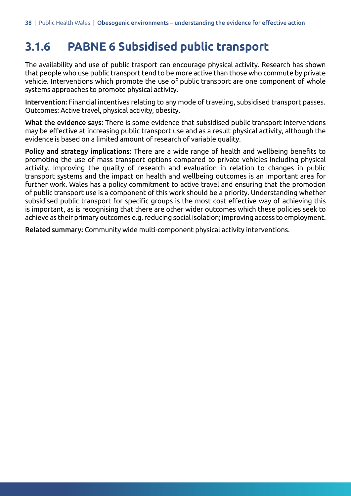### **3.1.6 PABNE 6 Subsidised public transport**

The availability and use of public trasport can encourage physical activity. Research has shown that people who use public transport tend to be more active than those who commute by private vehicle. Interventions which promote the use of public transport are one component of whole systems approaches to promote physical activity.

Intervention: Financial incentives relating to any mode of traveling, subsidised transport passes. Outcomes: Active travel, physical activity, obesity.

What the evidence says: There is some evidence that subsidised public transport interventions may be effective at increasing public transport use and as a result physical activity, although the evidence is based on a limited amount of research of variable quality.

Policy and strategy implications: There are a wide range of health and wellbeing benefits to promoting the use of mass transport options compared to private vehicles including physical activity. Improving the quality of research and evaluation in relation to changes in public transport systems and the impact on health and wellbeing outcomes is an important area for further work. Wales has a policy commitment to active travel and ensuring that the promotion of public transport use is a component of this work should be a priority. Understanding whether subsidised public transport for specific groups is the most cost effective way of achieving this is important, as is recognising that there are other wider outcomes which these policies seek to achieve as their primary outcomes e.g. reducing social isolation; improving access to employment.

Related summary: Community wide multi-component physical activity interventions.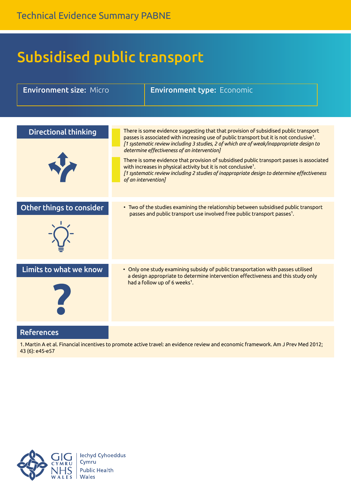## Subsidised public transport

| <b>Environment size: Micro</b> | <b>Environment type: Economic</b>                                                                                                                                                                                                                                                                                                                                                                                                                                                                                                                                                                                                         |
|--------------------------------|-------------------------------------------------------------------------------------------------------------------------------------------------------------------------------------------------------------------------------------------------------------------------------------------------------------------------------------------------------------------------------------------------------------------------------------------------------------------------------------------------------------------------------------------------------------------------------------------------------------------------------------------|
|                                |                                                                                                                                                                                                                                                                                                                                                                                                                                                                                                                                                                                                                                           |
| <b>Directional thinking</b>    | There is some evidence suggesting that that provision of subsidised public transport<br>passes is associated with increasing use of public transport but it is not conclusive <sup>1</sup> .<br>[1 systematic review including 3 studies, 2 of which are of weak/inappropriate design to<br>determine effectiveness of an intervention]<br>There is some evidence that provision of subsidised public transport passes is associated<br>with increases in physical activity but it is not conclusive <sup>1</sup> .<br>[1 systematic review including 2 studies of inappropriate design to determine effectiveness<br>of an intervention] |
| Other things to consider       | • Two of the studies examining the relationship between subsidised public transport<br>passes and public transport use involved free public transport passes <sup>1</sup> .                                                                                                                                                                                                                                                                                                                                                                                                                                                               |
| Limits to what we know         | • Only one study examining subsidy of public transportation with passes utilised<br>a design appropriate to determine intervention effectiveness and this study only<br>had a follow up of 6 weeks <sup>1</sup> .                                                                                                                                                                                                                                                                                                                                                                                                                         |
| References                     | 1. Martin A et al. Financial incentives to promote active travel: an evidence review and economic framework. Am J Prev Med 2012;                                                                                                                                                                                                                                                                                                                                                                                                                                                                                                          |



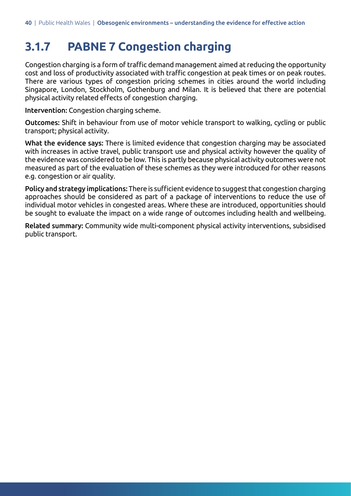### **3.1.7 PABNE 7 Congestion charging**

Congestion charging is a form of traffic demand management aimed at reducing the opportunity cost and loss of productivity associated with traffic congestion at peak times or on peak routes. There are various types of congestion pricing schemes in cities around the world including Singapore, London, Stockholm, Gothenburg and Milan. It is believed that there are potential physical activity related effects of congestion charging.

Intervention: Congestion charging scheme.

Outcomes: Shift in behaviour from use of motor vehicle transport to walking, cycling or public transport; physical activity.

What the evidence says: There is limited evidence that congestion charging may be associated with increases in active travel, public transport use and physical activity however the quality of the evidence was considered to be low. This is partly because physical activity outcomes were not measured as part of the evaluation of these schemes as they were introduced for other reasons e.g. congestion or air quality.

Policy and strategy implications: There is sufficient evidence to suggest that congestion charging approaches should be considered as part of a package of interventions to reduce the use of individual motor vehicles in congested areas. Where these are introduced, opportunities should be sought to evaluate the impact on a wide range of outcomes including health and wellbeing.

Related summary: Community wide multi-component physical activity interventions, subsidised public transport.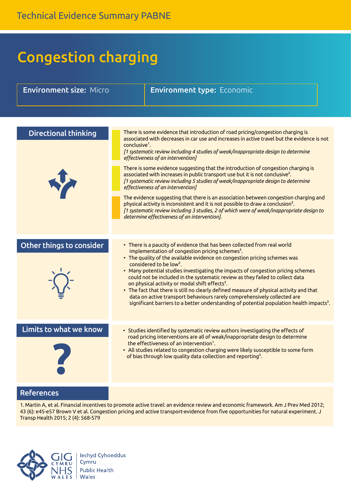## Congestion charging

| <b>Environment size: Micro</b> | <b>Environment type: Economic</b>                                                                                                                                                                                                                                                                                                                                                                                                                                                                                                                                                                                                                                                                                                                                                                                                                                                                                                                                                        |
|--------------------------------|------------------------------------------------------------------------------------------------------------------------------------------------------------------------------------------------------------------------------------------------------------------------------------------------------------------------------------------------------------------------------------------------------------------------------------------------------------------------------------------------------------------------------------------------------------------------------------------------------------------------------------------------------------------------------------------------------------------------------------------------------------------------------------------------------------------------------------------------------------------------------------------------------------------------------------------------------------------------------------------|
|                                |                                                                                                                                                                                                                                                                                                                                                                                                                                                                                                                                                                                                                                                                                                                                                                                                                                                                                                                                                                                          |
| <b>Directional thinking</b>    | There is some evidence that introduction of road pricing/congestion charging is<br>associated with decreases in car use and increases in active travel but the evidence is not<br>conclusive <sup>1</sup> .<br>[1 systematic review including 4 studies of weak/inappropriate design to determine<br>effectiveness of an intervention]<br>There is some evidence suggesting that the introduction of congestion charging is<br>associated with increases in public transport use but it is not conclusive <sup>2</sup> .<br>[1 systematic review including 5 studies of weak/inappropriate design to determine<br>effectiveness of an intervention]<br>The evidence suggesting that there is an association between congestion charging and<br>physical activity is inconsistent and it is not possible to draw a conclusion <sup>2</sup> .<br>[1 systematic review including 3 studies, 2 of which were of weak/inappropriate design to<br>determine effectiveness of an intervention]. |
| Other things to consider       | • There is a paucity of evidence that has been collected from real world<br>implementation of congestion pricing schemes <sup>2</sup> .<br>• The quality of the available evidence on congestion pricing schemes was<br>considered to be low <sup>2</sup> .<br>• Many potential studies investigating the impacts of congestion pricing schemes<br>could not be included in the systematic review as they failed to collect data<br>on physical activity or modal shift effects <sup>2</sup> .<br>. The fact that there is still no clearly defined measure of physical activity and that<br>data on active transport behaviours rarely comprehensively collected are<br>significant barriers to a better understanding of potential population health impacts <sup>2</sup> .                                                                                                                                                                                                            |
| Limits to what we know         | • Studies identified by systematic review authors investigating the effects of<br>road pricing interventions are all of weak/inappropriate design to determine<br>the effectiveness of an intervention <sup>1</sup> .<br>• All studies related to congestion charging were likely susceptible to some form<br>of bias through low quality data collection and reporting <sup>2</sup> .                                                                                                                                                                                                                                                                                                                                                                                                                                                                                                                                                                                                   |
| <b>References</b>              |                                                                                                                                                                                                                                                                                                                                                                                                                                                                                                                                                                                                                                                                                                                                                                                                                                                                                                                                                                                          |

1. Martin A, et al. Financial incentives to promote active travel: an evidence review and economic framework. Am J Prev Med 2012; 43 (6): e45-e57 Brown V et al. Congestion pricing and active transport-evidence from five opportunities for natural experiment. J Transp Health 2015; 2 (4): 568-579

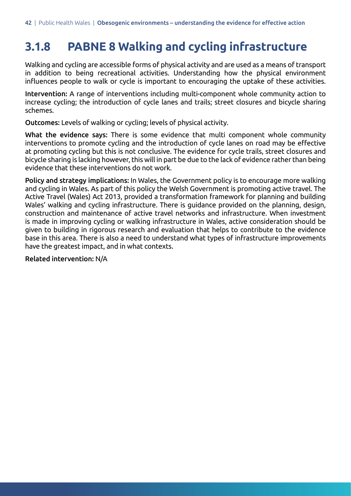### **3.1.8 PABNE 8 Walking and cycling infrastructure**

Walking and cycling are accessible forms of physical activity and are used as a means of transport in addition to being recreational activities. Understanding how the physical environment influences people to walk or cycle is important to encouraging the uptake of these activities.

Intervention: A range of interventions including multi-component whole community action to increase cycling; the introduction of cycle lanes and trails; street closures and bicycle sharing schemes.

Outcomes: Levels of walking or cycling; levels of physical activity.

What the evidence says: There is some evidence that multi component whole community interventions to promote cycling and the introduction of cycle lanes on road may be effective at promoting cycling but this is not conclusive. The evidence for cycle trails, street closures and bicycle sharing is lacking however, this will in part be due to the lack of evidence rather than being evidence that these interventions do not work.

Policy and strategy implications: In Wales, the Government policy is to encourage more walking and cycling in Wales. As part of this policy the Welsh Government is promoting active travel. The Active Travel (Wales) Act 2013, provided a transformation framework for planning and building Wales' walking and cycling infrastructure. There is guidance provided on the planning, design, construction and maintenance of active travel networks and infrastructure. When investment is made in improving cycling or walking infrastructure in Wales, active consideration should be given to building in rigorous research and evaluation that helps to contribute to the evidence base in this area. There is also a need to understand what types of infrastructure improvements have the greatest impact, and in what contexts.

Related intervention: N/A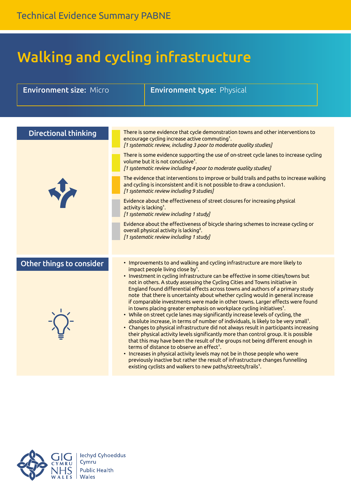## Walking and cycling infrastructure

| <b>Environment size: Micro</b> | <b>Environment type: Physical</b>                                                                                                                                                                                                                                                                                                                                                                                                                                                                                                                                                                                                                                                                                                                                                                                                                                                                                                                                                                                                                                                                                                                                                                                                                                                                                           |
|--------------------------------|-----------------------------------------------------------------------------------------------------------------------------------------------------------------------------------------------------------------------------------------------------------------------------------------------------------------------------------------------------------------------------------------------------------------------------------------------------------------------------------------------------------------------------------------------------------------------------------------------------------------------------------------------------------------------------------------------------------------------------------------------------------------------------------------------------------------------------------------------------------------------------------------------------------------------------------------------------------------------------------------------------------------------------------------------------------------------------------------------------------------------------------------------------------------------------------------------------------------------------------------------------------------------------------------------------------------------------|
|                                |                                                                                                                                                                                                                                                                                                                                                                                                                                                                                                                                                                                                                                                                                                                                                                                                                                                                                                                                                                                                                                                                                                                                                                                                                                                                                                                             |
|                                |                                                                                                                                                                                                                                                                                                                                                                                                                                                                                                                                                                                                                                                                                                                                                                                                                                                                                                                                                                                                                                                                                                                                                                                                                                                                                                                             |
| <b>Directional thinking</b>    | There is some evidence that cycle demonstration towns and other interventions to<br>encourage cycling increase active commuting <sup>1</sup> .<br>[1 systematic review, including 3 poor to moderate quality studies]<br>There is some evidence supporting the use of on-street cycle lanes to increase cycling<br>volume but it is not conclusive <sup>1</sup> .                                                                                                                                                                                                                                                                                                                                                                                                                                                                                                                                                                                                                                                                                                                                                                                                                                                                                                                                                           |
|                                | [1 systematic review including 4 poor to moderate quality studies]                                                                                                                                                                                                                                                                                                                                                                                                                                                                                                                                                                                                                                                                                                                                                                                                                                                                                                                                                                                                                                                                                                                                                                                                                                                          |
| <b>V</b>                       | The evidence that interventions to improve or build trails and paths to increase walking<br>and cycling is inconsistent and it is not possible to draw a conclusion1.<br>[1 systematic review including 9 studies]                                                                                                                                                                                                                                                                                                                                                                                                                                                                                                                                                                                                                                                                                                                                                                                                                                                                                                                                                                                                                                                                                                          |
|                                | Evidence about the effectiveness of street closures for increasing physical<br>activity is lacking <sup>1</sup> .<br>[1 systematic review including 1 study]                                                                                                                                                                                                                                                                                                                                                                                                                                                                                                                                                                                                                                                                                                                                                                                                                                                                                                                                                                                                                                                                                                                                                                |
|                                | Evidence about the effectiveness of bicycle sharing schemes to increase cycling or<br>overall physical activity is lacking <sup>2</sup> .<br>[1 systematic review including 1 study]                                                                                                                                                                                                                                                                                                                                                                                                                                                                                                                                                                                                                                                                                                                                                                                                                                                                                                                                                                                                                                                                                                                                        |
| Other things to consider       | • Improvements to and walking and cycling infrastructure are more likely to<br>impact people living close by <sup>1</sup> .<br>• Investment in cycling infrastructure can be effective in some cities/towns but<br>not in others. A study assessing the Cycling Cities and Towns initiative in<br>England found differential effects across towns and authors of a primary study<br>note that there is uncertainty about whether cycling would in general increase<br>if comparable investments were made in other towns. Larger effects were found<br>in towns placing greater emphasis on workplace cycling initiatives <sup>1</sup> .<br>• While on street cycle lanes may significantly increase levels of cycling, the<br>absolute increase, in terms of number of individuals, is likely to be very small <sup>1</sup> .<br>• Changes to physical infrastructure did not always result in participants increasing<br>their physical activity levels significantly more than control group. It is possible<br>that this may have been the result of the groups not being different enough in<br>terms of distance to observe an effect <sup>1</sup> .<br>• Increases in physical activity levels may not be in those people who were<br>previously inactive but rather the result of infrastructure changes funnelling |
|                                | existing cyclists and walkers to new paths/streets/trails <sup>1</sup> .                                                                                                                                                                                                                                                                                                                                                                                                                                                                                                                                                                                                                                                                                                                                                                                                                                                                                                                                                                                                                                                                                                                                                                                                                                                    |

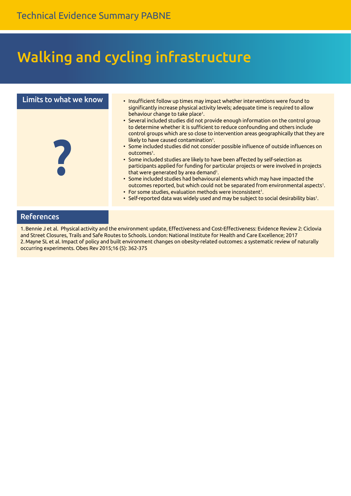## Walking and cycling infrastructure



#### References

1. Bennie J et al. Physical activity and the environment update, Effectiveness and Cost-Effectiveness: Evidence Review 2: Ciclovia and Street Closures, Trails and Safe Routes to Schools. London: National Institute for Health and Care Excellence; 2017 2. Mayne SL et al. Impact of policy and built environment changes on obesity-related outcomes: a systematic review of naturally occurring experiments. Obes Rev 2015;16 (5): 362-375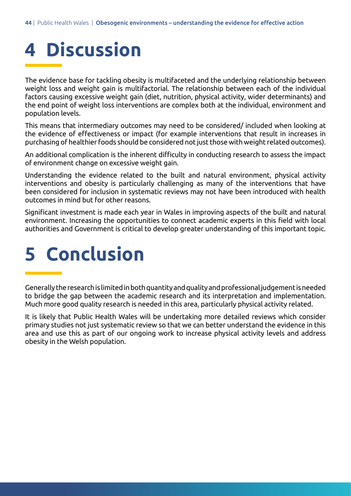# **4 Discussion**

The evidence base for tackling obesity is multifaceted and the underlying relationship between weight loss and weight gain is multifactorial. The relationship between each of the individual factors causing excessive weight gain (diet, nutrition, physical activity, wider determinants) and the end point of weight loss interventions are complex both at the individual, environment and population levels.

This means that intermediary outcomes may need to be considered/ included when looking at the evidence of effectiveness or impact (for example interventions that result in increases in purchasing of healthierfoods should be considered not just those with weight related outcomes).

An additional complication is the inherent difficulty in conducting research to assess the impact of environment change on excessive weight gain.

Understanding the evidence related to the built and natural environment, physical activity interventions and obesity is particularly challenging as many of the interventions that have been considered for inclusion in systematic reviews may not have been introduced with health outcomes in mind but for other reasons.

Significant investment is made each year in Wales in improving aspects of the built and natural environment. Increasing the opportunities to connect academic experts in this field with local authorities and Government is critical to develop greater understanding of this important topic.

# **5 Conclusion**

Generallytheresearchis limitedinbothquantityandqualityandprofessionaljudgement isneeded to bridge the gap between the academic research and its interpretation and implementation. Much more good quality research is needed in this area, particularly physical activity related.

It is likely that Public Health Wales will be undertaking more detailed reviews which consider primary studies not just systematic review so that we can better understand the evidence in this area and use this as part of our ongoing work to increase physical activity levels and address obesity in the Welsh population.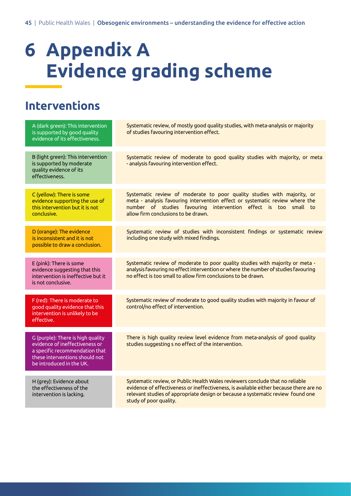# **6 Appendix A Evidence grading scheme**

### **Interventions**

| A (dark green): This intervention<br>is supported by good quality<br>evidence of its effectiveness.                                                                 | Systematic review, of mostly good quality studies, with meta-analysis or majority<br>of studies favouring intervention effect.                                                                                                                                                       |
|---------------------------------------------------------------------------------------------------------------------------------------------------------------------|--------------------------------------------------------------------------------------------------------------------------------------------------------------------------------------------------------------------------------------------------------------------------------------|
| B (light green): This intervention<br>is supported by moderate<br>quality evidence of its<br>effectiveness.                                                         | Systematic review of moderate to good quality studies with majority, or meta<br>- analysis favouring intervention effect.                                                                                                                                                            |
| C (yellow): There is some<br>evidence supporting the use of<br>this intervention but it is not<br>conclusive.                                                       | Systematic review of moderate to poor quality studies with majority, or<br>meta - analysis favouring intervention effect or systematic review where the<br>number of studies favouring intervention effect is too small to<br>allow firm conclusions to be drawn.                    |
| D (orange): The evidence<br>is inconsistent and it is not<br>possible to draw a conclusion.                                                                         | Systematic review of studies with inconsistent findings or systematic review<br>including one study with mixed findings.                                                                                                                                                             |
| E (pink): There is some<br>evidence suggesting that this<br>intervention is ineffective but it<br>is not conclusive.                                                | Systematic review of moderate to poor quality studies with majority or meta -<br>analysis favouring no effect intervention or where the number of studies favouring<br>no effect is too small to allow firm conclusions to be drawn.                                                 |
| F (red): There is moderate to<br>good quality evidence that this<br>intervention is unlikely to be<br>effective.                                                    | Systematic review of moderate to good quality studies with majority in favour of<br>control/no effect of intervention.                                                                                                                                                               |
| G (purple): There is high quality<br>evidence of ineffectiveness or<br>a specific recommendation that<br>these interventions should not<br>be introduced in the UK. | There is high quality review level evidence from meta-analysis of good quality<br>studies suggesting s no effect of the intervention.                                                                                                                                                |
| H (grey): Evidence about<br>the effectiveness of the<br>intervention is lacking.                                                                                    | Systematic review, or Public Health Wales reviewers conclude that no reliable<br>evidence of effectiveness or ineffectiveness, is available either because there are no<br>relevant studies of appropriate design or because a systematic review found one<br>study of poor quality. |